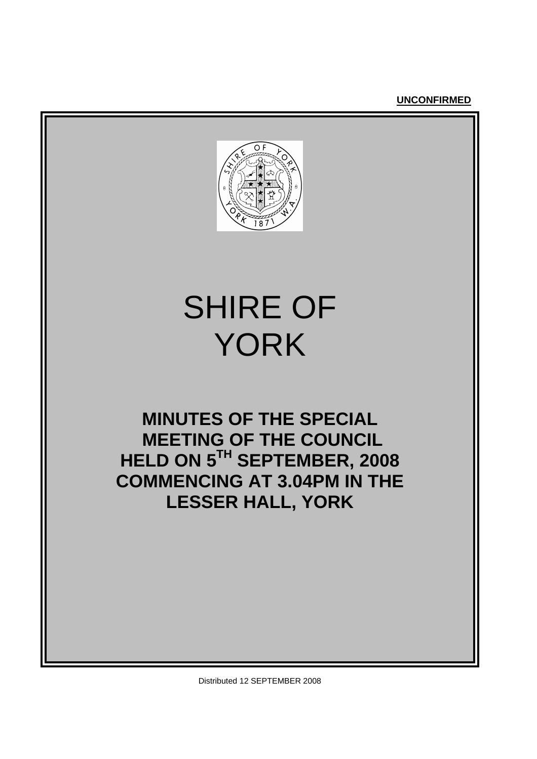**UNCONFIRMED**



# SHIRE OF YORK

**MINUTES OF THE SPECIAL MEETING OF THE COUNCIL HELD ON 5TH SEPTEMBER, 2008 COMMENCING AT 3.04PM IN THE LESSER HALL, YORK** 

Distributed 12 SEPTEMBER 2008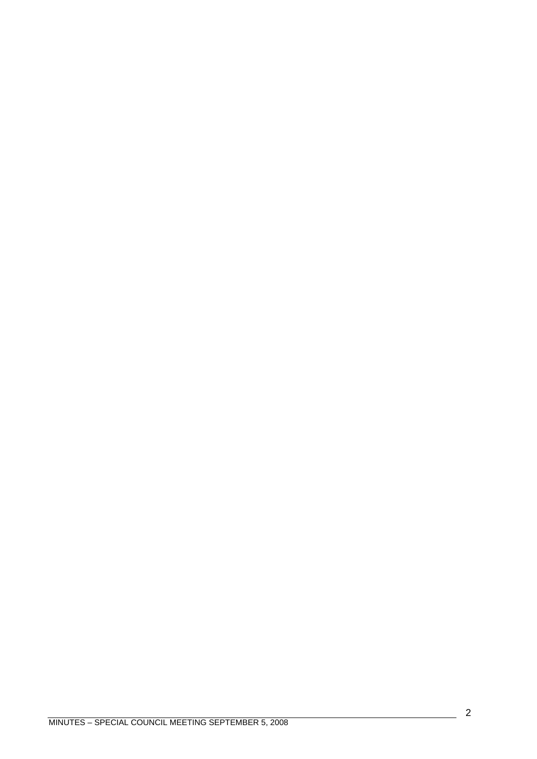$\mathcal{L}^{\text{max}}$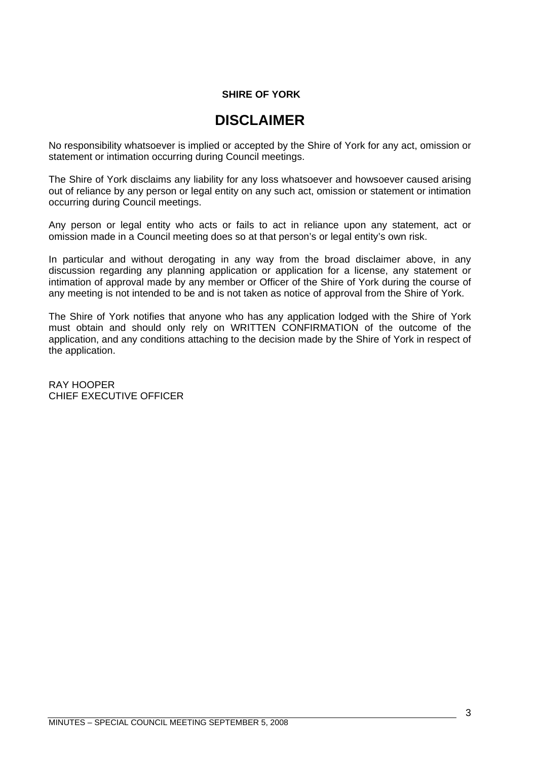# **SHIRE OF YORK**

# **DISCLAIMER**

No responsibility whatsoever is implied or accepted by the Shire of York for any act, omission or statement or intimation occurring during Council meetings.

The Shire of York disclaims any liability for any loss whatsoever and howsoever caused arising out of reliance by any person or legal entity on any such act, omission or statement or intimation occurring during Council meetings.

Any person or legal entity who acts or fails to act in reliance upon any statement, act or omission made in a Council meeting does so at that person's or legal entity's own risk.

In particular and without derogating in any way from the broad disclaimer above, in any discussion regarding any planning application or application for a license, any statement or intimation of approval made by any member or Officer of the Shire of York during the course of any meeting is not intended to be and is not taken as notice of approval from the Shire of York.

The Shire of York notifies that anyone who has any application lodged with the Shire of York must obtain and should only rely on WRITTEN CONFIRMATION of the outcome of the application, and any conditions attaching to the decision made by the Shire of York in respect of the application.

RAY HOOPER CHIEF EXECUTIVE OFFICER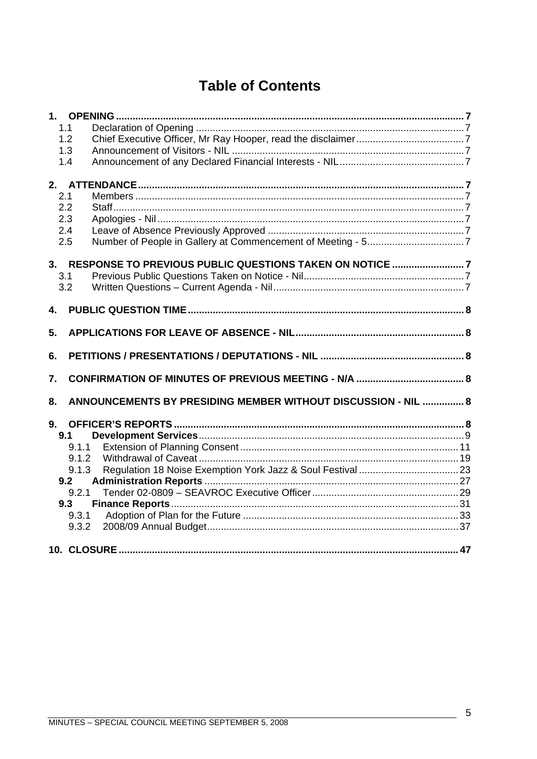# **Table of Contents**

|                  | 1.1                                                           |  |
|------------------|---------------------------------------------------------------|--|
|                  | 1.2                                                           |  |
|                  | 1.3                                                           |  |
|                  | 1.4                                                           |  |
|                  |                                                               |  |
|                  | 2.1                                                           |  |
|                  | 2.2                                                           |  |
|                  | 2.3                                                           |  |
|                  | 2.4                                                           |  |
|                  | 2.5                                                           |  |
|                  | 3. RESPONSE TO PREVIOUS PUBLIC QUESTIONS TAKEN ON NOTICE 7    |  |
|                  | 3.1                                                           |  |
|                  | 3.2                                                           |  |
| $\blacktriangle$ |                                                               |  |
| 5.               |                                                               |  |
| 6.               |                                                               |  |
| 7.               |                                                               |  |
| 8.               | ANNOUNCEMENTS BY PRESIDING MEMBER WITHOUT DISCUSSION - NIL  8 |  |
| 9.               |                                                               |  |
|                  | 9.1                                                           |  |
|                  | 9.1.1                                                         |  |
|                  | 9.1.2                                                         |  |
|                  | 9.1.3                                                         |  |
|                  | 9.2                                                           |  |
|                  | 9.2.1                                                         |  |
|                  | 9.3                                                           |  |
|                  | 9.3.1                                                         |  |
|                  | 9.3.2                                                         |  |
|                  |                                                               |  |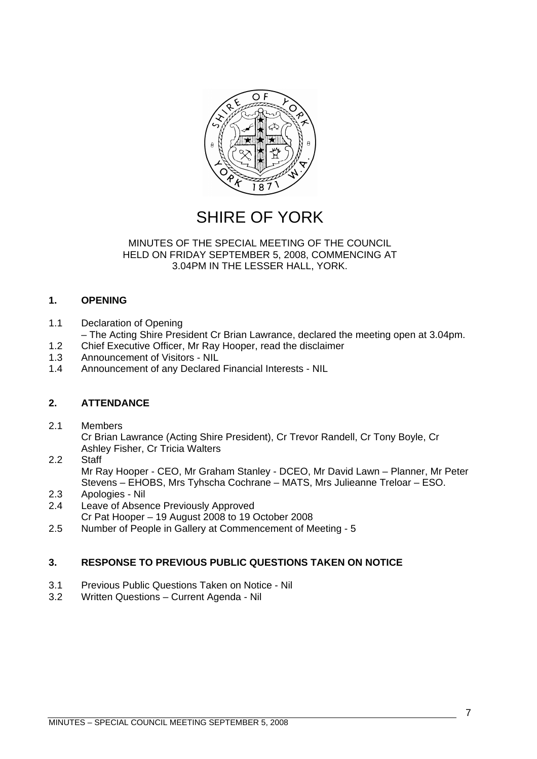<span id="page-6-0"></span>

# SHIRE OF YORK

#### MINUTES OF THE SPECIAL MEETING OF THE COUNCIL HELD ON FRIDAY SEPTEMBER 5, 2008, COMMENCING AT 3.04PM IN THE LESSER HALL, YORK.

# <span id="page-6-1"></span>**1. OPENING**

<span id="page-6-2"></span>1.1 Declaration of Opening

– The Acting Shire President Cr Brian Lawrance, declared the meeting open at 3.04pm.

- <span id="page-6-3"></span>1.2 Chief Executive Officer, Mr Ray Hooper, read the disclaimer
- <span id="page-6-4"></span>1.3 Announcement of Visitors - NIL
- <span id="page-6-5"></span>1.4 Announcement of any Declared Financial Interests - NIL

# <span id="page-6-6"></span>**2. ATTENDANCE**

<span id="page-6-7"></span>2.1 Members

 Cr Brian Lawrance (Acting Shire President), Cr Trevor Randell, Cr Tony Boyle, Cr Ashley Fisher, Cr Tricia Walters

- <span id="page-6-8"></span>2.2 Staff Mr Ray Hooper - CEO, Mr Graham Stanley - DCEO, Mr David Lawn – Planner, Mr Peter Stevens – EHOBS, Mrs Tyhscha Cochrane – MATS, Mrs Julieanne Treloar – ESO.
- <span id="page-6-9"></span>2.3 Apologies - Nil
- <span id="page-6-10"></span>2.4 Leave of Absence Previously Approved
- Cr Pat Hooper 19 August 2008 to 19 October 2008
- <span id="page-6-11"></span>2.5 Number of People in Gallery at Commencement of Meeting - 5

# <span id="page-6-12"></span>**3. RESPONSE TO PREVIOUS PUBLIC QUESTIONS TAKEN ON NOTICE**

- <span id="page-6-13"></span>3.1 Previous Public Questions Taken on Notice - Nil
- <span id="page-6-14"></span>3.2 Written Questions – Current Agenda - Nil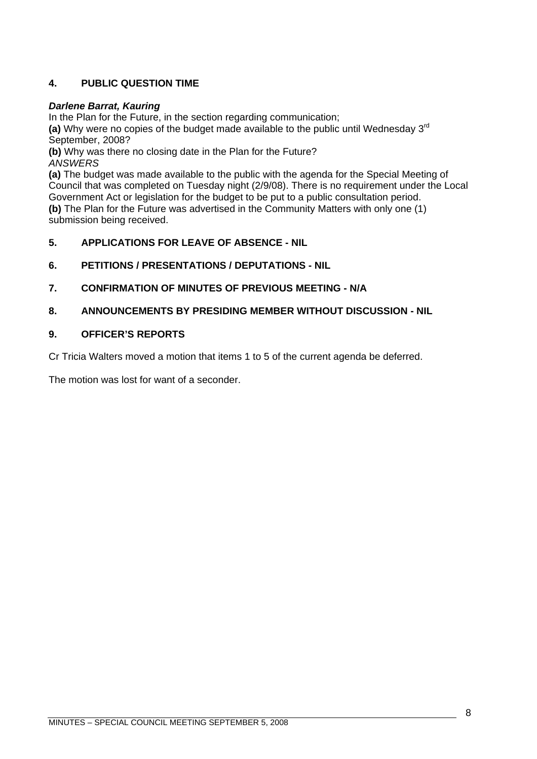# <span id="page-7-1"></span><span id="page-7-0"></span>**4. PUBLIC QUESTION TIME**

# *Darlene Barrat, Kauring*

In the Plan for the Future, in the section regarding communication;

**(a)** Why were no copies of the budget made available to the public until Wednesday 3rd September, 2008?

**(b)** Why was there no closing date in the Plan for the Future? *ANSWERS* 

**(a)** The budget was made available to the public with the agenda for the Special Meeting of Council that was completed on Tuesday night (2/9/08). There is no requirement under the Local Government Act or legislation for the budget to be put to a public consultation period. **(b)** The Plan for the Future was advertised in the Community Matters with only one (1) submission being received.

# <span id="page-7-2"></span>**5. APPLICATIONS FOR LEAVE OF ABSENCE - NIL**

# <span id="page-7-3"></span>**6. PETITIONS / PRESENTATIONS / DEPUTATIONS - NIL**

# <span id="page-7-4"></span>**7. CONFIRMATION OF MINUTES OF PREVIOUS MEETING - N/A**

# <span id="page-7-5"></span>**8. ANNOUNCEMENTS BY PRESIDING MEMBER WITHOUT DISCUSSION - NIL**

# <span id="page-7-6"></span>**9. OFFICER'S REPORTS**

Cr Tricia Walters moved a motion that items 1 to 5 of the current agenda be deferred.

The motion was lost for want of a seconder.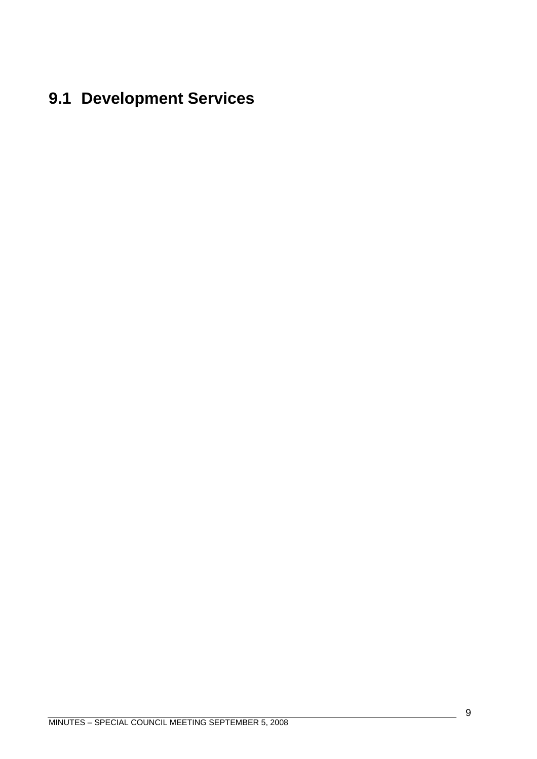# <span id="page-8-1"></span><span id="page-8-0"></span>**9.1 Development Services**

 $\overline{\phantom{a}}$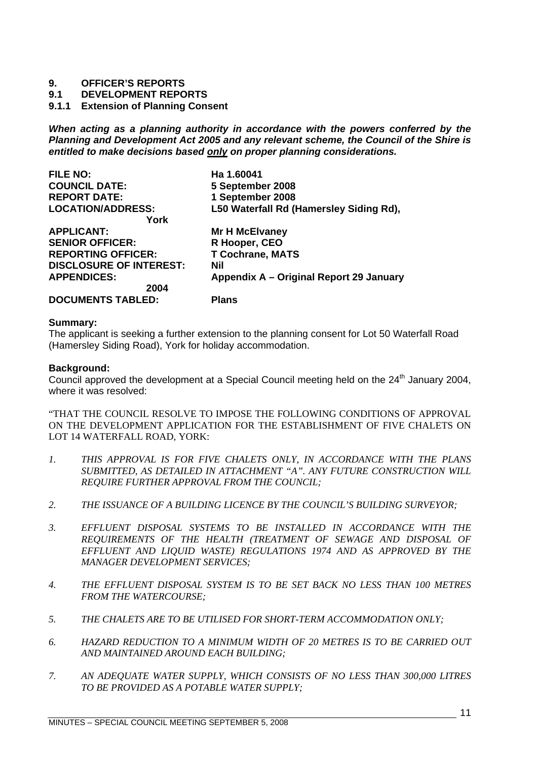# <span id="page-10-0"></span>**9. OFFICER'S REPORTS**

- **9.1 DEVELOPMENT REPORTS**
- <span id="page-10-1"></span>**9.1.1 Extension of Planning Consent**

*When acting as a planning authority in accordance with the powers conferred by the Planning and Development Act 2005 and any relevant scheme, the Council of the Shire is entitled to make decisions based only on proper planning considerations.* 

| Ha 1.60041                              |
|-----------------------------------------|
| 5 September 2008                        |
| 1 September 2008                        |
| L50 Waterfall Rd (Hamersley Siding Rd), |
|                                         |
| <b>Mr H McElvaney</b>                   |
| R Hooper, CEO                           |
| <b>T Cochrane, MATS</b>                 |
| Nil                                     |
| Appendix A – Original Report 29 January |
|                                         |
| <b>Plans</b>                            |
|                                         |

#### **Summary:**

The applicant is seeking a further extension to the planning consent for Lot 50 Waterfall Road (Hamersley Siding Road), York for holiday accommodation.

#### **Background:**

Council approved the development at a Special Council meeting held on the 24<sup>th</sup> January 2004, where it was resolved:

"THAT THE COUNCIL RESOLVE TO IMPOSE THE FOLLOWING CONDITIONS OF APPROVAL ON THE DEVELOPMENT APPLICATION FOR THE ESTABLISHMENT OF FIVE CHALETS ON LOT 14 WATERFALL ROAD, YORK:

- *1. THIS APPROVAL IS FOR FIVE CHALETS ONLY, IN ACCORDANCE WITH THE PLANS SUBMITTED, AS DETAILED IN ATTACHMENT "A". ANY FUTURE CONSTRUCTION WILL REQUIRE FURTHER APPROVAL FROM THE COUNCIL;*
- *2. THE ISSUANCE OF A BUILDING LICENCE BY THE COUNCIL'S BUILDING SURVEYOR;*
- *3. EFFLUENT DISPOSAL SYSTEMS TO BE INSTALLED IN ACCORDANCE WITH THE REQUIREMENTS OF THE HEALTH (TREATMENT OF SEWAGE AND DISPOSAL OF EFFLUENT AND LIQUID WASTE) REGULATIONS 1974 AND AS APPROVED BY THE MANAGER DEVELOPMENT SERVICES;*
- *4. THE EFFLUENT DISPOSAL SYSTEM IS TO BE SET BACK NO LESS THAN 100 METRES FROM THE WATERCOURSE;*
- *5. THE CHALETS ARE TO BE UTILISED FOR SHORT-TERM ACCOMMODATION ONLY;*
- *6. HAZARD REDUCTION TO A MINIMUM WIDTH OF 20 METRES IS TO BE CARRIED OUT AND MAINTAINED AROUND EACH BUILDING;*
- *7. AN ADEQUATE WATER SUPPLY, WHICH CONSISTS OF NO LESS THAN 300,000 LITRES TO BE PROVIDED AS A POTABLE WATER SUPPLY;*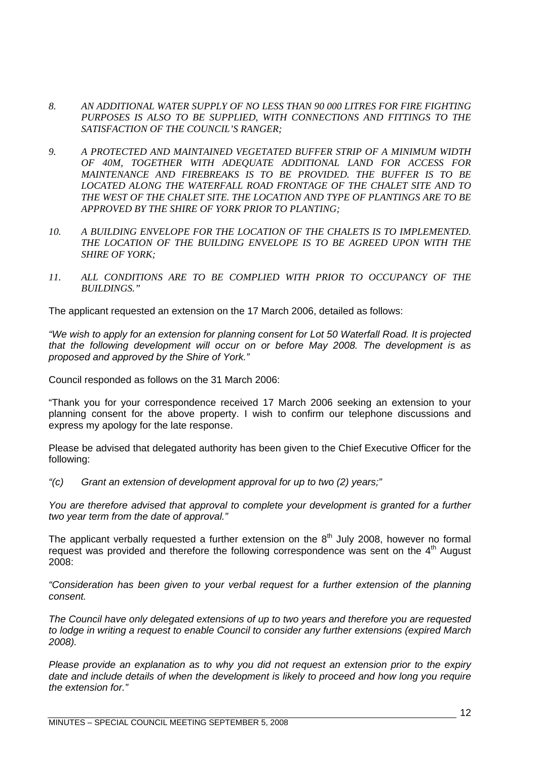- *8. AN ADDITIONAL WATER SUPPLY OF NO LESS THAN 90 000 LITRES FOR FIRE FIGHTING PURPOSES IS ALSO TO BE SUPPLIED, WITH CONNECTIONS AND FITTINGS TO THE SATISFACTION OF THE COUNCIL'S RANGER;*
- *9. A PROTECTED AND MAINTAINED VEGETATED BUFFER STRIP OF A MINIMUM WIDTH OF 40M, TOGETHER WITH ADEQUATE ADDITIONAL LAND FOR ACCESS FOR MAINTENANCE AND FIREBREAKS IS TO BE PROVIDED. THE BUFFER IS TO BE LOCATED ALONG THE WATERFALL ROAD FRONTAGE OF THE CHALET SITE AND TO THE WEST OF THE CHALET SITE. THE LOCATION AND TYPE OF PLANTINGS ARE TO BE APPROVED BY THE SHIRE OF YORK PRIOR TO PLANTING;*
- *10. A BUILDING ENVELOPE FOR THE LOCATION OF THE CHALETS IS TO IMPLEMENTED. THE LOCATION OF THE BUILDING ENVELOPE IS TO BE AGREED UPON WITH THE SHIRE OF YORK;*
- *11. ALL CONDITIONS ARE TO BE COMPLIED WITH PRIOR TO OCCUPANCY OF THE BUILDINGS."*

The applicant requested an extension on the 17 March 2006, detailed as follows:

*"We wish to apply for an extension for planning consent for Lot 50 Waterfall Road. It is projected that the following development will occur on or before May 2008. The development is as proposed and approved by the Shire of York."* 

Council responded as follows on the 31 March 2006:

"Thank you for your correspondence received 17 March 2006 seeking an extension to your planning consent for the above property. I wish to confirm our telephone discussions and express my apology for the late response.

Please be advised that delegated authority has been given to the Chief Executive Officer for the following:

*"(c) Grant an extension of development approval for up to two (2) years;"* 

*You are therefore advised that approval to complete your development is granted for a further two year term from the date of approval."* 

The applicant verbally requested a further extension on the  $8<sup>th</sup>$  July 2008, however no formal request was provided and therefore the following correspondence was sent on the 4<sup>th</sup> August 2008:

*"Consideration has been given to your verbal request for a further extension of the planning consent.* 

*The Council have only delegated extensions of up to two years and therefore you are requested to lodge in writing a request to enable Council to consider any further extensions (expired March 2008).* 

*Please provide an explanation as to why you did not request an extension prior to the expiry date and include details of when the development is likely to proceed and how long you require the extension for."*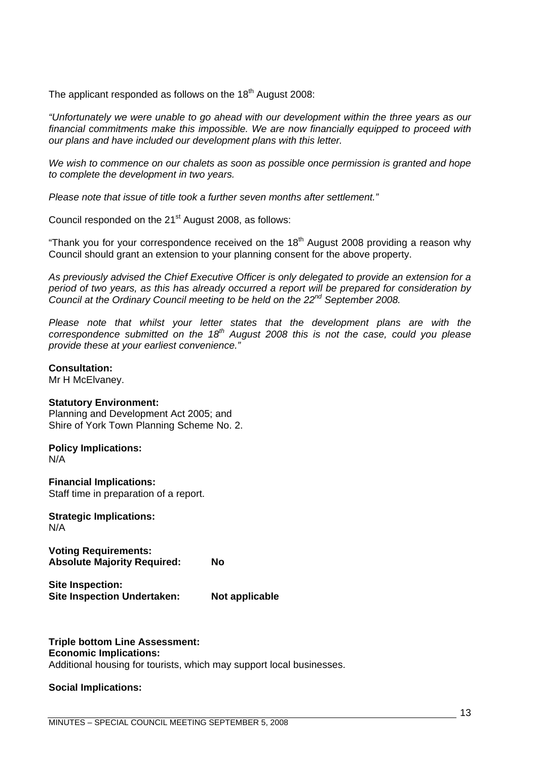The applicant responded as follows on the  $18<sup>th</sup>$  August 2008:

*"Unfortunately we were unable to go ahead with our development within the three years as our financial commitments make this impossible. We are now financially equipped to proceed with our plans and have included our development plans with this letter.* 

*We wish to commence on our chalets as soon as possible once permission is granted and hope to complete the development in two years.* 

*Please note that issue of title took a further seven months after settlement."* 

Council responded on the 21<sup>st</sup> August 2008, as follows:

"Thank you for your correspondence received on the  $18<sup>th</sup>$  August 2008 providing a reason why Council should grant an extension to your planning consent for the above property.

*As previously advised the Chief Executive Officer is only delegated to provide an extension for a period of two years, as this has already occurred a report will be prepared for consideration by Council at the Ordinary Council meeting to be held on the 22nd September 2008.* 

Please note that whilst your letter states that the development plans are with the *correspondence submitted on the 18th August 2008 this is not the case, could you please provide these at your earliest convenience."* 

#### **Consultation:**

Mr H McElvaney.

#### **Statutory Environment:**

Planning and Development Act 2005; and Shire of York Town Planning Scheme No. 2.

**Policy Implications:** 

N/A

**Financial Implications:**  Staff time in preparation of a report.

**Strategic Implications:**  N/A

**Voting Requirements: Absolute Majority Required: No** 

**Site Inspection: Site Inspection Undertaken: Not applicable** 

# **Triple bottom Line Assessment: Economic Implications:**

Additional housing for tourists, which may support local businesses.

#### **Social Implications:**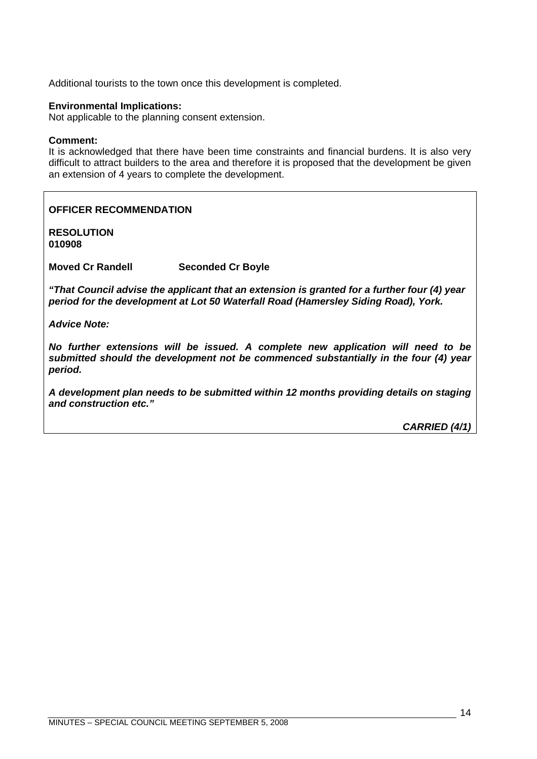Additional tourists to the town once this development is completed.

#### **Environmental Implications:**

Not applicable to the planning consent extension.

#### **Comment:**

It is acknowledged that there have been time constraints and financial burdens. It is also very difficult to attract builders to the area and therefore it is proposed that the development be given an extension of 4 years to complete the development.

# **OFFICER RECOMMENDATION**

**RESOLUTION 010908** 

**Moved Cr Randell Seconded Cr Boyle** 

*"That Council advise the applicant that an extension is granted for a further four (4) year period for the development at Lot 50 Waterfall Road (Hamersley Siding Road), York.* 

*Advice Note:* 

*No further extensions will be issued. A complete new application will need to be submitted should the development not be commenced substantially in the four (4) year period.* 

*A development plan needs to be submitted within 12 months providing details on staging and construction etc."* 

*CARRIED (4/1)*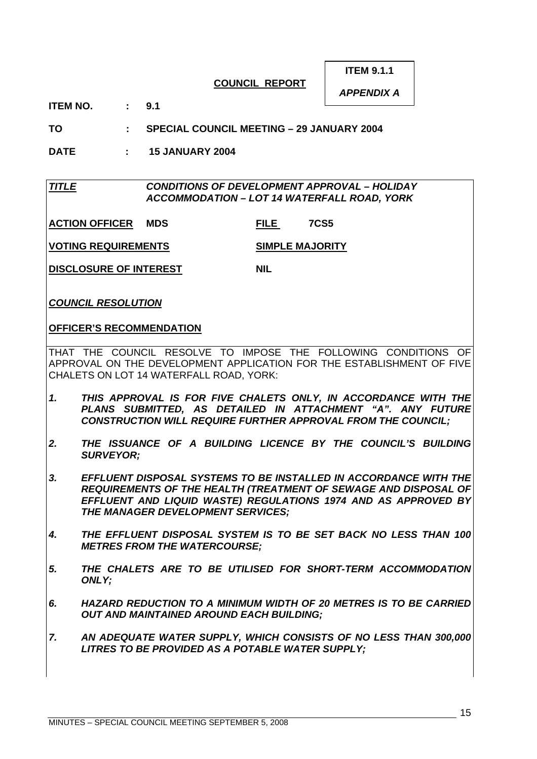**ITEM 9.1.1** 

*APPENDIX A* 

# **COUNCIL REPORT**

**ITEM NO. : 9.1**

**TO : SPECIAL COUNCIL MEETING – 29 JANUARY 2004** 

**DATE : 15 JANUARY 2004** 

#### *TITLE CONDITIONS OF DEVELOPMENT APPROVAL – HOLIDAY ACCOMMODATION – LOT 14 WATERFALL ROAD, YORK*

ACTION OFFICER MDS FILE 7CS5

**VOTING REQUIREMENTS SIMPLE MAJORITY**

**DISCLOSURE OF INTEREST NIL** 

*COUNCIL RESOLUTION*

**OFFICER'S RECOMMENDATION**

THAT THE COUNCIL RESOLVE TO IMPOSE THE FOLLOWING CONDITIONS OF APPROVAL ON THE DEVELOPMENT APPLICATION FOR THE ESTABLISHMENT OF FIVE CHALETS ON LOT 14 WATERFALL ROAD, YORK:

- *1. THIS APPROVAL IS FOR FIVE CHALETS ONLY, IN ACCORDANCE WITH THE PLANS SUBMITTED, AS DETAILED IN ATTACHMENT "A". ANY FUTURE CONSTRUCTION WILL REQUIRE FURTHER APPROVAL FROM THE COUNCIL;*
- *2. THE ISSUANCE OF A BUILDING LICENCE BY THE COUNCIL'S BUILDING SURVEYOR;*
- *3. EFFLUENT DISPOSAL SYSTEMS TO BE INSTALLED IN ACCORDANCE WITH THE REQUIREMENTS OF THE HEALTH (TREATMENT OF SEWAGE AND DISPOSAL OF EFFLUENT AND LIQUID WASTE) REGULATIONS 1974 AND AS APPROVED BY THE MANAGER DEVELOPMENT SERVICES;*
- *4. THE EFFLUENT DISPOSAL SYSTEM IS TO BE SET BACK NO LESS THAN 100 METRES FROM THE WATERCOURSE;*
- *5. THE CHALETS ARE TO BE UTILISED FOR SHORT-TERM ACCOMMODATION ONLY;*
- *6. HAZARD REDUCTION TO A MINIMUM WIDTH OF 20 METRES IS TO BE CARRIED OUT AND MAINTAINED AROUND EACH BUILDING;*
- *7. AN ADEQUATE WATER SUPPLY, WHICH CONSISTS OF NO LESS THAN 300,000 LITRES TO BE PROVIDED AS A POTABLE WATER SUPPLY;*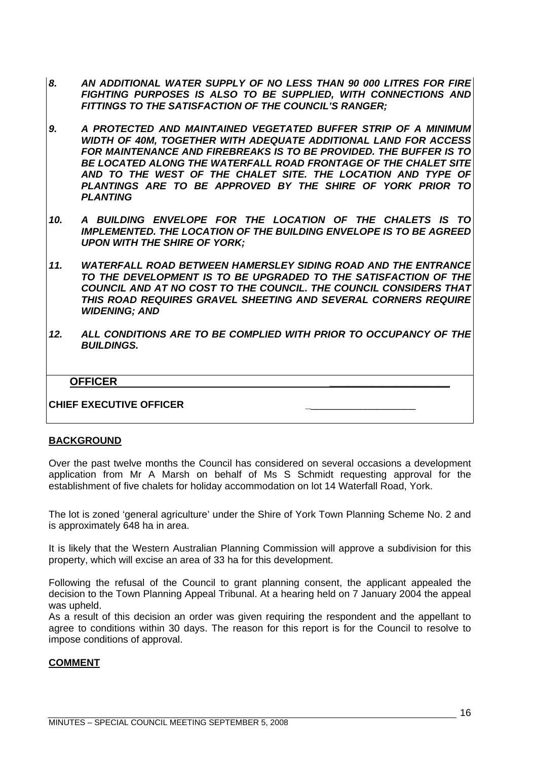- *8. AN ADDITIONAL WATER SUPPLY OF NO LESS THAN 90 000 LITRES FOR FIRE FIGHTING PURPOSES IS ALSO TO BE SUPPLIED, WITH CONNECTIONS AND FITTINGS TO THE SATISFACTION OF THE COUNCIL'S RANGER;*
- *9. A PROTECTED AND MAINTAINED VEGETATED BUFFER STRIP OF A MINIMUM WIDTH OF 40M, TOGETHER WITH ADEQUATE ADDITIONAL LAND FOR ACCESS*  FOR MAINTENANCE AND FIREBREAKS IS TO BE PROVIDED. THE BUFFER IS TO *BE LOCATED ALONG THE WATERFALL ROAD FRONTAGE OF THE CHALET SITE AND TO THE WEST OF THE CHALET SITE. THE LOCATION AND TYPE OF PLANTINGS ARE TO BE APPROVED BY THE SHIRE OF YORK PRIOR TO PLANTING*
- *10. A BUILDING ENVELOPE FOR THE LOCATION OF THE CHALETS IS TO IMPLEMENTED. THE LOCATION OF THE BUILDING ENVELOPE IS TO BE AGREED UPON WITH THE SHIRE OF YORK;*
- *11. WATERFALL ROAD BETWEEN HAMERSLEY SIDING ROAD AND THE ENTRANCE TO THE DEVELOPMENT IS TO BE UPGRADED TO THE SATISFACTION OF THE COUNCIL AND AT NO COST TO THE COUNCIL. THE COUNCIL CONSIDERS THAT THIS ROAD REQUIRES GRAVEL SHEETING AND SEVERAL CORNERS REQUIRE WIDENING; AND*
- *12. ALL CONDITIONS ARE TO BE COMPLIED WITH PRIOR TO OCCUPANCY OF THE BUILDINGS.*

#### **OFFICER \_\_\_\_\_\_\_\_\_\_\_\_\_\_\_\_\_\_\_\_**

# **CHIEF EXECUTIVE OFFICER**

#### **BACKGROUND**

Over the past twelve months the Council has considered on several occasions a development application from Mr A Marsh on behalf of Ms S Schmidt requesting approval for the establishment of five chalets for holiday accommodation on lot 14 Waterfall Road, York.

The lot is zoned 'general agriculture' under the Shire of York Town Planning Scheme No. 2 and is approximately 648 ha in area.

It is likely that the Western Australian Planning Commission will approve a subdivision for this property, which will excise an area of 33 ha for this development.

Following the refusal of the Council to grant planning consent, the applicant appealed the decision to the Town Planning Appeal Tribunal. At a hearing held on 7 January 2004 the appeal was upheld.

As a result of this decision an order was given requiring the respondent and the appellant to agree to conditions within 30 days. The reason for this report is for the Council to resolve to impose conditions of approval.

#### **COMMENT**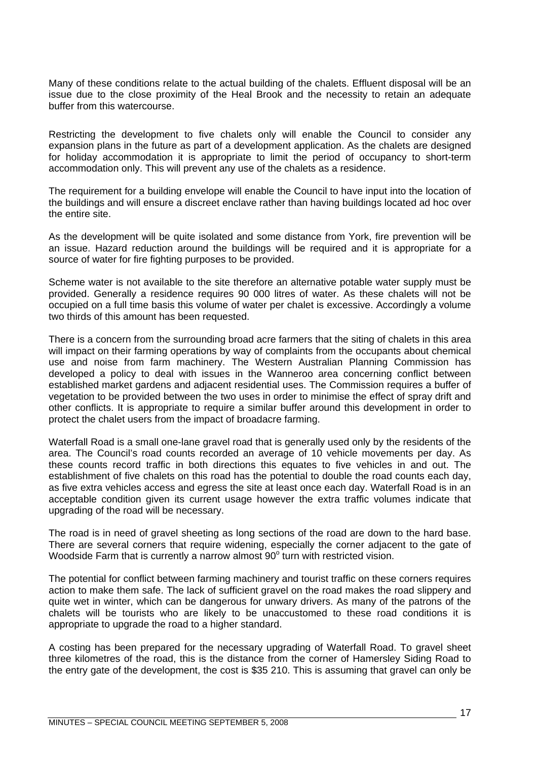Many of these conditions relate to the actual building of the chalets. Effluent disposal will be an issue due to the close proximity of the Heal Brook and the necessity to retain an adequate buffer from this watercourse.

Restricting the development to five chalets only will enable the Council to consider any expansion plans in the future as part of a development application. As the chalets are designed for holiday accommodation it is appropriate to limit the period of occupancy to short-term accommodation only. This will prevent any use of the chalets as a residence.

The requirement for a building envelope will enable the Council to have input into the location of the buildings and will ensure a discreet enclave rather than having buildings located ad hoc over the entire site.

As the development will be quite isolated and some distance from York, fire prevention will be an issue. Hazard reduction around the buildings will be required and it is appropriate for a source of water for fire fighting purposes to be provided.

Scheme water is not available to the site therefore an alternative potable water supply must be provided. Generally a residence requires 90 000 litres of water. As these chalets will not be occupied on a full time basis this volume of water per chalet is excessive. Accordingly a volume two thirds of this amount has been requested.

There is a concern from the surrounding broad acre farmers that the siting of chalets in this area will impact on their farming operations by way of complaints from the occupants about chemical use and noise from farm machinery. The Western Australian Planning Commission has developed a policy to deal with issues in the Wanneroo area concerning conflict between established market gardens and adjacent residential uses. The Commission requires a buffer of vegetation to be provided between the two uses in order to minimise the effect of spray drift and other conflicts. It is appropriate to require a similar buffer around this development in order to protect the chalet users from the impact of broadacre farming.

Waterfall Road is a small one-lane gravel road that is generally used only by the residents of the area. The Council's road counts recorded an average of 10 vehicle movements per day. As these counts record traffic in both directions this equates to five vehicles in and out. The establishment of five chalets on this road has the potential to double the road counts each day, as five extra vehicles access and egress the site at least once each day. Waterfall Road is in an acceptable condition given its current usage however the extra traffic volumes indicate that upgrading of the road will be necessary.

The road is in need of gravel sheeting as long sections of the road are down to the hard base. There are several corners that require widening, especially the corner adjacent to the gate of Woodside Farm that is currently a narrow almost  $90^{\circ}$  turn with restricted vision.

The potential for conflict between farming machinery and tourist traffic on these corners requires action to make them safe. The lack of sufficient gravel on the road makes the road slippery and quite wet in winter, which can be dangerous for unwary drivers. As many of the patrons of the chalets will be tourists who are likely to be unaccustomed to these road conditions it is appropriate to upgrade the road to a higher standard.

A costing has been prepared for the necessary upgrading of Waterfall Road. To gravel sheet three kilometres of the road, this is the distance from the corner of Hamersley Siding Road to the entry gate of the development, the cost is \$35 210. This is assuming that gravel can only be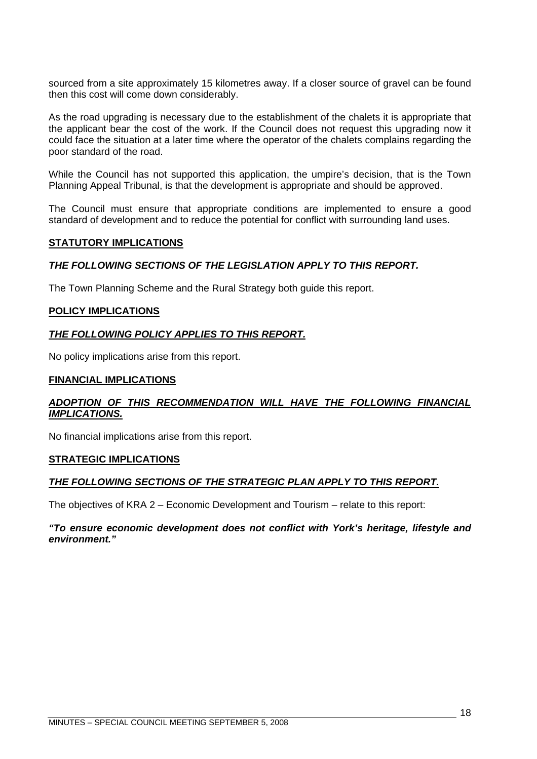sourced from a site approximately 15 kilometres away. If a closer source of gravel can be found then this cost will come down considerably.

As the road upgrading is necessary due to the establishment of the chalets it is appropriate that the applicant bear the cost of the work. If the Council does not request this upgrading now it could face the situation at a later time where the operator of the chalets complains regarding the poor standard of the road.

While the Council has not supported this application, the umpire's decision, that is the Town Planning Appeal Tribunal, is that the development is appropriate and should be approved.

The Council must ensure that appropriate conditions are implemented to ensure a good standard of development and to reduce the potential for conflict with surrounding land uses.

#### **STATUTORY IMPLICATIONS**

# *THE FOLLOWING SECTIONS OF THE LEGISLATION APPLY TO THIS REPORT.*

The Town Planning Scheme and the Rural Strategy both guide this report.

#### **POLICY IMPLICATIONS**

#### *THE FOLLOWING POLICY APPLIES TO THIS REPORT.*

No policy implications arise from this report.

#### **FINANCIAL IMPLICATIONS**

#### *ADOPTION OF THIS RECOMMENDATION WILL HAVE THE FOLLOWING FINANCIAL IMPLICATIONS.*

No financial implications arise from this report.

#### **STRATEGIC IMPLICATIONS**

#### *THE FOLLOWING SECTIONS OF THE STRATEGIC PLAN APPLY TO THIS REPORT.*

The objectives of KRA 2 – Economic Development and Tourism – relate to this report:

#### *"To ensure economic development does not conflict with York's heritage, lifestyle and environment."*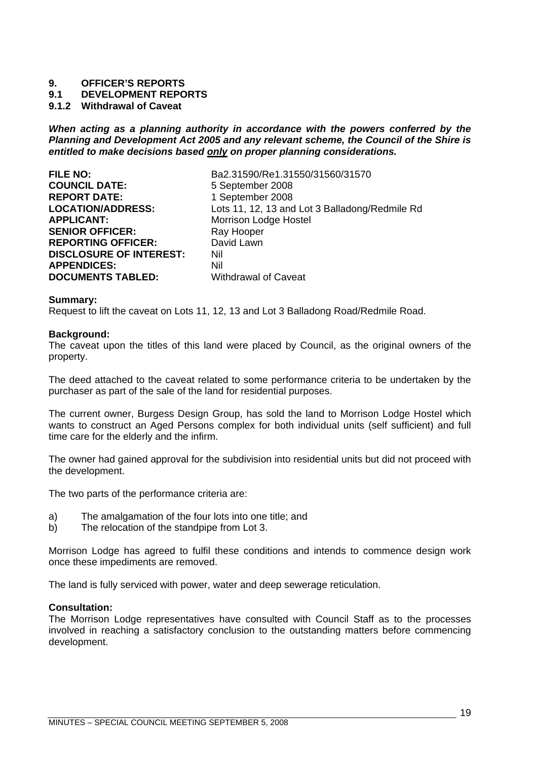# <span id="page-18-0"></span>**9. OFFICER'S REPORTS**

**9.1 DEVELOPMENT REPORTS** 

# <span id="page-18-1"></span>**9.1.2 Withdrawal of Caveat**

#### *When acting as a planning authority in accordance with the powers conferred by the Planning and Development Act 2005 and any relevant scheme, the Council of the Shire is entitled to make decisions based only on proper planning considerations.*

| <b>FILE NO:</b>                | Ba2.31590/Re1.31550/31560/31570                |
|--------------------------------|------------------------------------------------|
| <b>COUNCIL DATE:</b>           | 5 September 2008                               |
| <b>REPORT DATE:</b>            | 1 September 2008                               |
| <b>LOCATION/ADDRESS:</b>       | Lots 11, 12, 13 and Lot 3 Balladong/Redmile Rd |
| <b>APPLICANT:</b>              | Morrison Lodge Hostel                          |
| <b>SENIOR OFFICER:</b>         | Ray Hooper                                     |
| <b>REPORTING OFFICER:</b>      | David Lawn                                     |
| <b>DISCLOSURE OF INTEREST:</b> | Nil                                            |
| <b>APPENDICES:</b>             | Nil                                            |
| <b>DOCUMENTS TABLED:</b>       | <b>Withdrawal of Caveat</b>                    |

#### **Summary:**

Request to lift the caveat on Lots 11, 12, 13 and Lot 3 Balladong Road/Redmile Road.

#### **Background:**

The caveat upon the titles of this land were placed by Council, as the original owners of the property.

The deed attached to the caveat related to some performance criteria to be undertaken by the purchaser as part of the sale of the land for residential purposes.

The current owner, Burgess Design Group, has sold the land to Morrison Lodge Hostel which wants to construct an Aged Persons complex for both individual units (self sufficient) and full time care for the elderly and the infirm.

The owner had gained approval for the subdivision into residential units but did not proceed with the development.

The two parts of the performance criteria are:

- a) The amalgamation of the four lots into one title; and
- b) The relocation of the standpipe from Lot 3.

Morrison Lodge has agreed to fulfil these conditions and intends to commence design work once these impediments are removed.

The land is fully serviced with power, water and deep sewerage reticulation.

#### **Consultation:**

The Morrison Lodge representatives have consulted with Council Staff as to the processes involved in reaching a satisfactory conclusion to the outstanding matters before commencing development.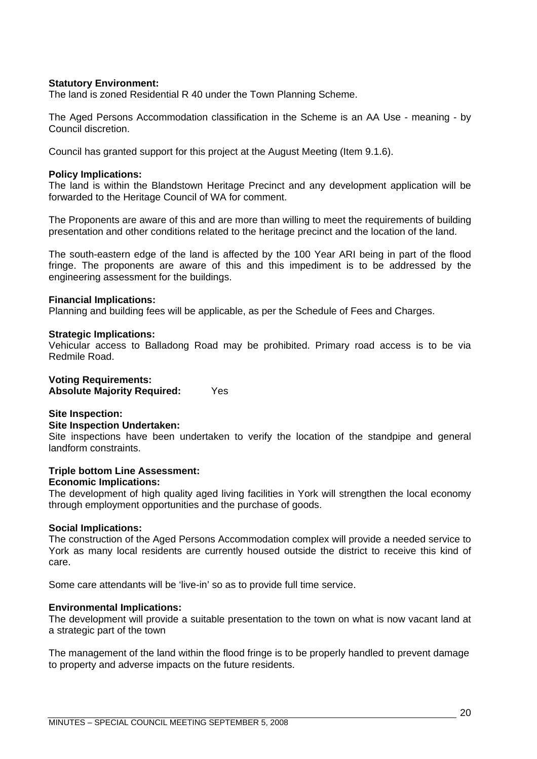#### **Statutory Environment:**

The land is zoned Residential R 40 under the Town Planning Scheme.

The Aged Persons Accommodation classification in the Scheme is an AA Use - meaning - by Council discretion.

Council has granted support for this project at the August Meeting (Item 9.1.6).

#### **Policy Implications:**

The land is within the Blandstown Heritage Precinct and any development application will be forwarded to the Heritage Council of WA for comment.

The Proponents are aware of this and are more than willing to meet the requirements of building presentation and other conditions related to the heritage precinct and the location of the land.

The south-eastern edge of the land is affected by the 100 Year ARI being in part of the flood fringe. The proponents are aware of this and this impediment is to be addressed by the engineering assessment for the buildings.

#### **Financial Implications:**

Planning and building fees will be applicable, as per the Schedule of Fees and Charges.

#### **Strategic Implications:**

Vehicular access to Balladong Road may be prohibited. Primary road access is to be via Redmile Road.

**Voting Requirements: Absolute Majority Required:** Yes

#### **Site Inspection:**

#### **Site Inspection Undertaken:**

Site inspections have been undertaken to verify the location of the standpipe and general landform constraints.

# **Triple bottom Line Assessment:**

#### **Economic Implications:**

The development of high quality aged living facilities in York will strengthen the local economy through employment opportunities and the purchase of goods.

#### **Social Implications:**

The construction of the Aged Persons Accommodation complex will provide a needed service to York as many local residents are currently housed outside the district to receive this kind of care.

Some care attendants will be 'live-in' so as to provide full time service.

#### **Environmental Implications:**

The development will provide a suitable presentation to the town on what is now vacant land at a strategic part of the town

The management of the land within the flood fringe is to be properly handled to prevent damage to property and adverse impacts on the future residents.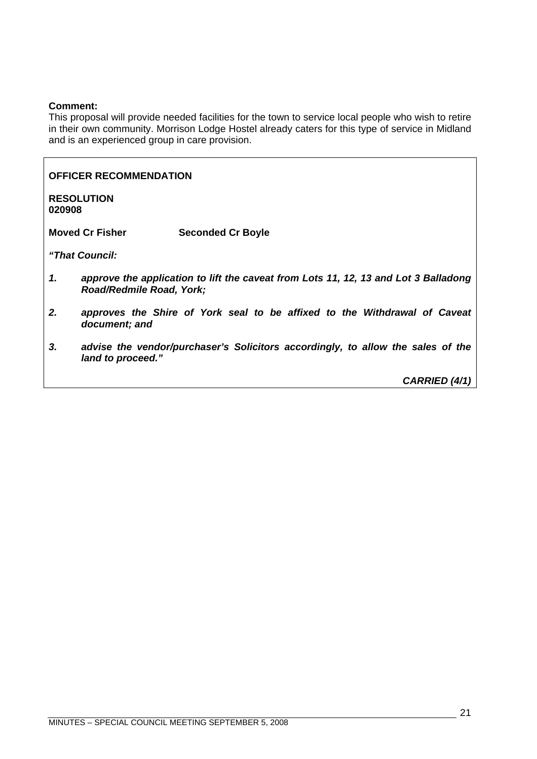# **Comment:**

This proposal will provide needed facilities for the town to service local people who wish to retire in their own community. Morrison Lodge Hostel already caters for this type of service in Midland and is an experienced group in care provision.

#### **OFFICER RECOMMENDATION**

**RESOLUTION 020908** 

**Moved Cr Fisher Seconded Cr Boyle** 

*"That Council:* 

- *1. approve the application to lift the caveat from Lots 11, 12, 13 and Lot 3 Balladong Road/Redmile Road, York;*
- *2. approves the Shire of York seal to be affixed to the Withdrawal of Caveat document; and*
- *3. advise the vendor/purchaser's Solicitors accordingly, to allow the sales of the land to proceed."*

*CARRIED (4/1)*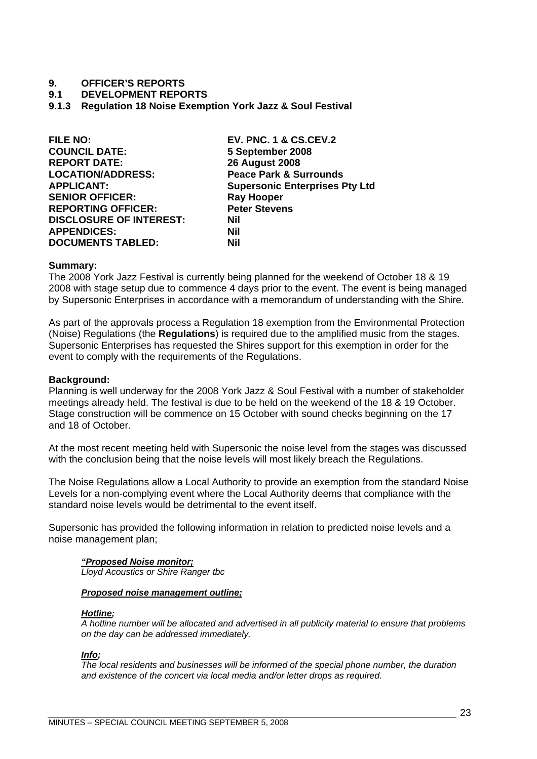# <span id="page-22-0"></span>**9. OFFICER'S REPORTS**

#### **9.1 DEVELOPMENT REPORTS**

<span id="page-22-1"></span>**9.1.3 Regulation 18 Noise Exemption York Jazz & Soul Festival** 

| <b>FILE NO:</b>                | <b>EV. PNC. 1 &amp; CS.CEV.2</b>      |
|--------------------------------|---------------------------------------|
| <b>COUNCIL DATE:</b>           | 5 September 2008                      |
| <b>REPORT DATE:</b>            | <b>26 August 2008</b>                 |
| <b>LOCATION/ADDRESS:</b>       | <b>Peace Park &amp; Surrounds</b>     |
| <b>APPLICANT:</b>              | <b>Supersonic Enterprises Pty Ltd</b> |
| <b>SENIOR OFFICER:</b>         | <b>Ray Hooper</b>                     |
| <b>REPORTING OFFICER:</b>      | <b>Peter Stevens</b>                  |
| <b>DISCLOSURE OF INTEREST:</b> | Nil                                   |
| <b>APPENDICES:</b>             | Nil                                   |
| <b>DOCUMENTS TABLED:</b>       | Nil                                   |

#### **Summary:**

The 2008 York Jazz Festival is currently being planned for the weekend of October 18 & 19 2008 with stage setup due to commence 4 days prior to the event. The event is being managed by Supersonic Enterprises in accordance with a memorandum of understanding with the Shire.

As part of the approvals process a Regulation 18 exemption from the Environmental Protection (Noise) Regulations (the **Regulations**) is required due to the amplified music from the stages. Supersonic Enterprises has requested the Shires support for this exemption in order for the event to comply with the requirements of the Regulations.

#### **Background:**

Planning is well underway for the 2008 York Jazz & Soul Festival with a number of stakeholder meetings already held. The festival is due to be held on the weekend of the 18 & 19 October. Stage construction will be commence on 15 October with sound checks beginning on the 17 and 18 of October.

At the most recent meeting held with Supersonic the noise level from the stages was discussed with the conclusion being that the noise levels will most likely breach the Regulations.

The Noise Regulations allow a Local Authority to provide an exemption from the standard Noise Levels for a non-complying event where the Local Authority deems that compliance with the standard noise levels would be detrimental to the event itself.

Supersonic has provided the following information in relation to predicted noise levels and a noise management plan;

#### *"Proposed Noise monitor; Lloyd Acoustics or Shire Ranger tbc*

#### *Proposed noise management outline;*

#### *Hotline;*

*A hotline number will be allocated and advertised in all publicity material to ensure that problems on the day can be addressed immediately.* 

#### *Info;*

*The local residents and businesses will be informed of the special phone number, the duration and existence of the concert via local media and/or letter drops as required.*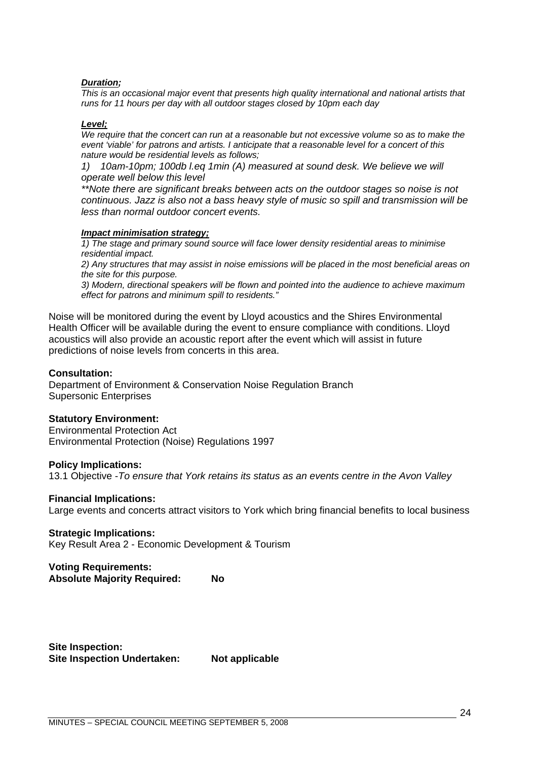#### *Duration;*

*This is an occasional major event that presents high quality international and national artists that runs for 11 hours per day with all outdoor stages closed by 10pm each day* 

#### *Level;*

*We require that the concert can run at a reasonable but not excessive volume so as to make the event 'viable' for patrons and artists. I anticipate that a reasonable level for a concert of this nature would be residential levels as follows;* 

*1) 10am-10pm; 100db l.eq 1min (A) measured at sound desk. We believe we will operate well below this level* 

*\*\*Note there are significant breaks between acts on the outdoor stages so noise is not continuous. Jazz is also not a bass heavy style of music so spill and transmission will be less than normal outdoor concert events.* 

#### *Impact minimisation strategy;*

*1) The stage and primary sound source will face lower density residential areas to minimise residential impact.* 

*2) Any structures that may assist in noise emissions will be placed in the most beneficial areas on the site for this purpose.* 

*3) Modern, directional speakers will be flown and pointed into the audience to achieve maximum effect for patrons and minimum spill to residents."* 

Noise will be monitored during the event by Lloyd acoustics and the Shires Environmental Health Officer will be available during the event to ensure compliance with conditions. Lloyd acoustics will also provide an acoustic report after the event which will assist in future predictions of noise levels from concerts in this area.

#### **Consultation:**

Department of Environment & Conservation Noise Regulation Branch Supersonic Enterprises

#### **Statutory Environment:**

Environmental Protection Act Environmental Protection (Noise) Regulations 1997

#### **Policy Implications:**

13.1 Objective -*To ensure that York retains its status as an events centre in the Avon Valley*

#### **Financial Implications:**

Large events and concerts attract visitors to York which bring financial benefits to local business

#### **Strategic Implications:**

Key Result Area 2 - Economic Development & Tourism

#### **Voting Requirements: Absolute Majority Required: No**

**Site Inspection: Site Inspection Undertaken: Not applicable**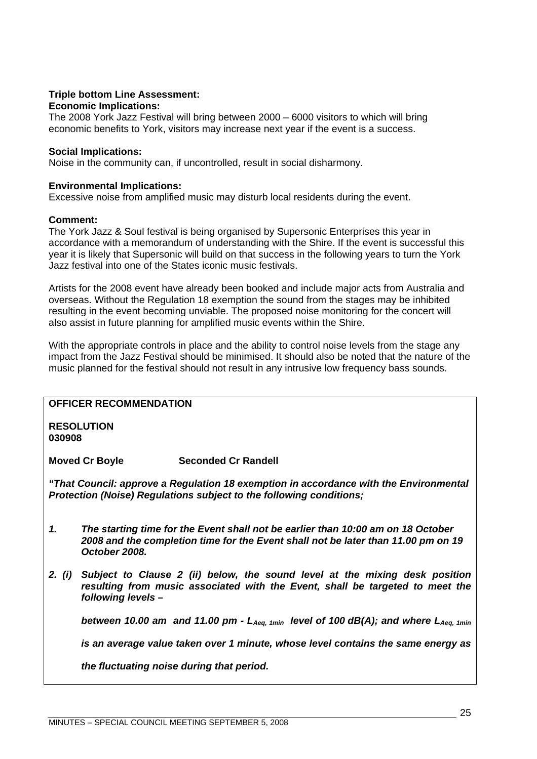# **Triple bottom Line Assessment:**

#### **Economic Implications:**

The 2008 York Jazz Festival will bring between 2000 – 6000 visitors to which will bring economic benefits to York, visitors may increase next year if the event is a success.

#### **Social Implications:**

Noise in the community can, if uncontrolled, result in social disharmony.

#### **Environmental Implications:**

Excessive noise from amplified music may disturb local residents during the event.

#### **Comment:**

The York Jazz & Soul festival is being organised by Supersonic Enterprises this year in accordance with a memorandum of understanding with the Shire. If the event is successful this year it is likely that Supersonic will build on that success in the following years to turn the York Jazz festival into one of the States iconic music festivals.

Artists for the 2008 event have already been booked and include major acts from Australia and overseas. Without the Regulation 18 exemption the sound from the stages may be inhibited resulting in the event becoming unviable. The proposed noise monitoring for the concert will also assist in future planning for amplified music events within the Shire.

With the appropriate controls in place and the ability to control noise levels from the stage any impact from the Jazz Festival should be minimised. It should also be noted that the nature of the music planned for the festival should not result in any intrusive low frequency bass sounds.

# **OFFICER RECOMMENDATION**

**RESOLUTION 030908** 

**Moved Cr Boyle Seconded Cr Randell** 

*"That Council: approve a Regulation 18 exemption in accordance with the Environmental Protection (Noise) Regulations subject to the following conditions;* 

- *1. The starting time for the Event shall not be earlier than 10:00 am on 18 October 2008 and the completion time for the Event shall not be later than 11.00 pm on 19 October 2008.*
- *2. (i) Subject to Clause 2 (ii) below, the sound level at the mixing desk position resulting from music associated with the Event, shall be targeted to meet the following levels –*

*between 10.00 am and 11.00 pm - L<sub>Aeq, 1min</sub> level of 100 dB(A); and where L<sub>Aea, 1min</sub>* 

*is an average value taken over 1 minute, whose level contains the same energy as* 

*the fluctuating noise during that period.*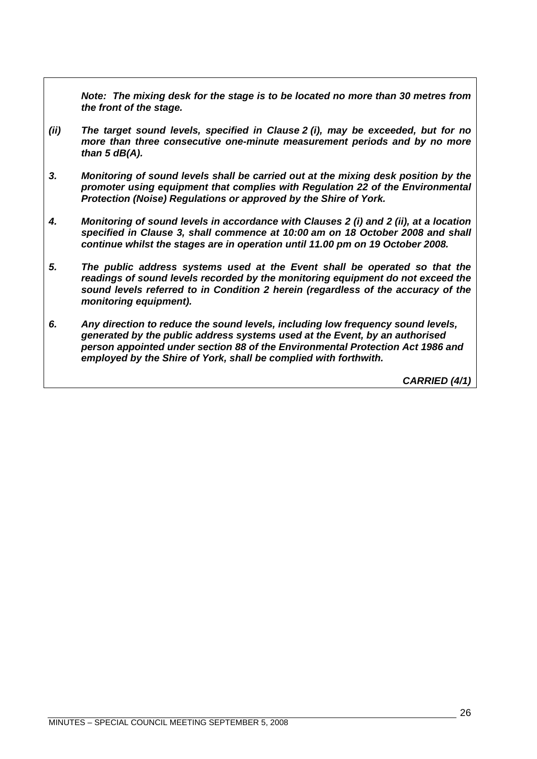*Note: The mixing desk for the stage is to be located no more than 30 metres from the front of the stage.* 

- *(ii) The target sound levels, specified in Clause 2 (i), may be exceeded, but for no more than three consecutive one-minute measurement periods and by no more than 5 dB(A).*
- *3. Monitoring of sound levels shall be carried out at the mixing desk position by the promoter using equipment that complies with Regulation 22 of the Environmental Protection (Noise) Regulations or approved by the Shire of York.*
- *4. Monitoring of sound levels in accordance with Clauses 2 (i) and 2 (ii), at a location specified in Clause 3, shall commence at 10:00 am on 18 October 2008 and shall continue whilst the stages are in operation until 11.00 pm on 19 October 2008.*
- *5. The public address systems used at the Event shall be operated so that the readings of sound levels recorded by the monitoring equipment do not exceed the sound levels referred to in Condition 2 herein (regardless of the accuracy of the monitoring equipment).*
- *6. Any direction to reduce the sound levels, including low frequency sound levels, generated by the public address systems used at the Event, by an authorised person appointed under section 88 of the Environmental Protection Act 1986 and employed by the Shire of York, shall be complied with forthwith.*

*CARRIED (4/1)*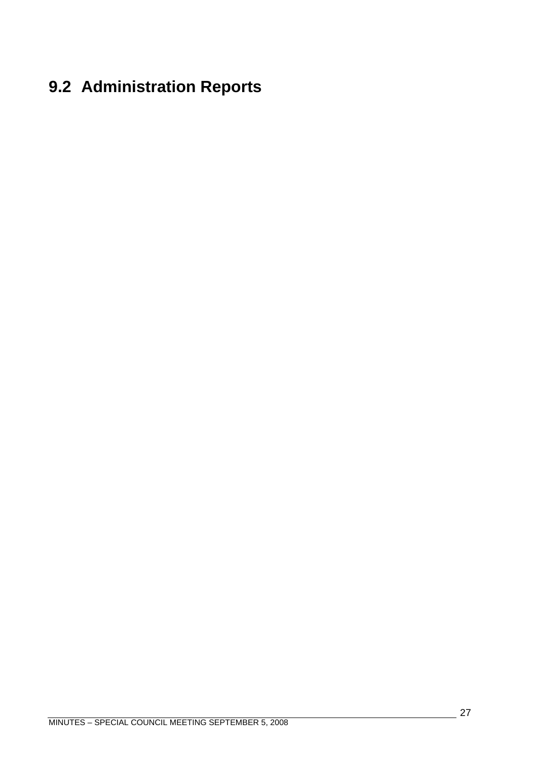# <span id="page-26-1"></span><span id="page-26-0"></span>**9.2 Administration Reports**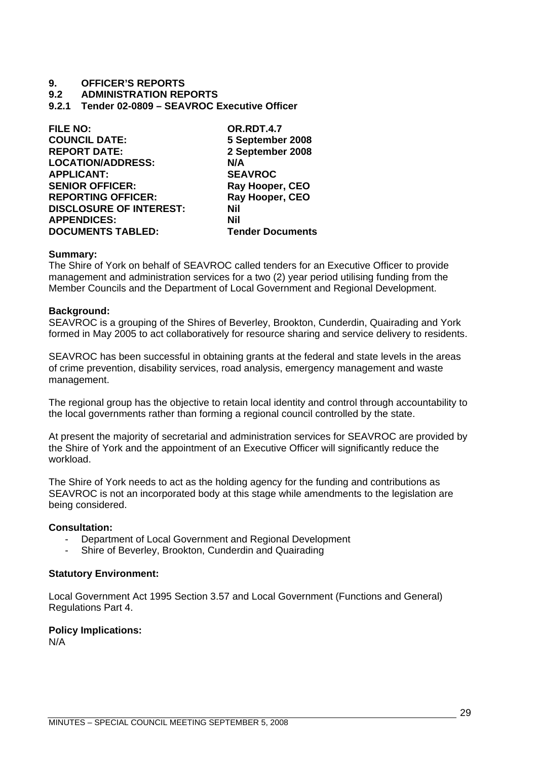# <span id="page-28-0"></span>**9. OFFICER'S REPORTS**

- **9.2 ADMINISTRATION REPORTS**
- <span id="page-28-1"></span>**9.2.1 Tender 02-0809 – SEAVROC Executive Officer**

| <b>OR.RDT.4.7</b>       |
|-------------------------|
| 5 September 2008        |
| 2 September 2008        |
| N/A                     |
| <b>SEAVROC</b>          |
| Ray Hooper, CEO         |
| Ray Hooper, CEO         |
| Nil                     |
| <b>Nil</b>              |
| <b>Tender Documents</b> |
|                         |

#### **Summary:**

The Shire of York on behalf of SEAVROC called tenders for an Executive Officer to provide management and administration services for a two (2) year period utilising funding from the Member Councils and the Department of Local Government and Regional Development.

#### **Background:**

SEAVROC is a grouping of the Shires of Beverley, Brookton, Cunderdin, Quairading and York formed in May 2005 to act collaboratively for resource sharing and service delivery to residents.

SEAVROC has been successful in obtaining grants at the federal and state levels in the areas of crime prevention, disability services, road analysis, emergency management and waste management.

The regional group has the objective to retain local identity and control through accountability to the local governments rather than forming a regional council controlled by the state.

At present the majority of secretarial and administration services for SEAVROC are provided by the Shire of York and the appointment of an Executive Officer will significantly reduce the workload.

The Shire of York needs to act as the holding agency for the funding and contributions as SEAVROC is not an incorporated body at this stage while amendments to the legislation are being considered.

#### **Consultation:**

- Department of Local Government and Regional Development
- Shire of Beverley, Brookton, Cunderdin and Quairading

#### **Statutory Environment:**

Local Government Act 1995 Section 3.57 and Local Government (Functions and General) Regulations Part 4.

# **Policy Implications:**

N/A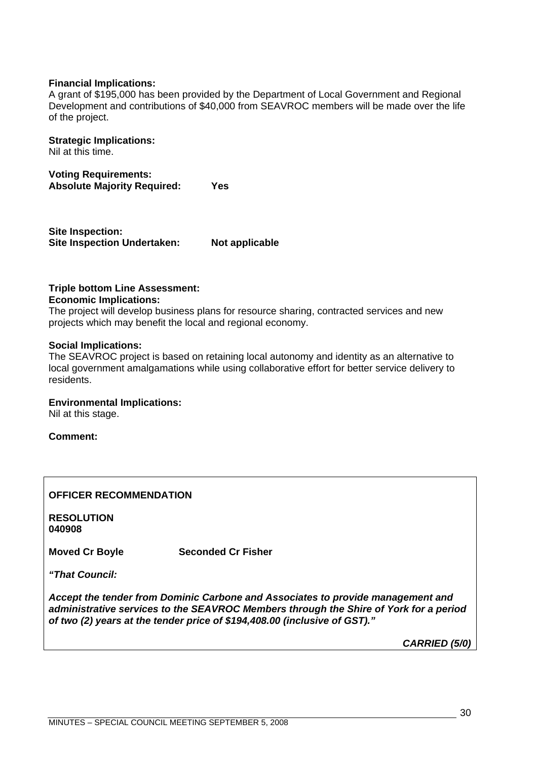#### **Financial Implications:**

A grant of \$195,000 has been provided by the Department of Local Government and Regional Development and contributions of \$40,000 from SEAVROC members will be made over the life of the project.

**Strategic Implications:**  Nil at this time.

**Voting Requirements: Absolute Majority Required: Yes** 

**Site Inspection: Site Inspection Undertaken: Not applicable** 

#### **Triple bottom Line Assessment:**

#### **Economic Implications:**

The project will develop business plans for resource sharing, contracted services and new projects which may benefit the local and regional economy.

#### **Social Implications:**

The SEAVROC project is based on retaining local autonomy and identity as an alternative to local government amalgamations while using collaborative effort for better service delivery to residents.

#### **Environmental Implications:**

Nil at this stage.

**Comment:** 

# **OFFICER RECOMMENDATION**

**RESOLUTION 040908** 

**Moved Cr Boyle Seconded Cr Fisher** 

*"That Council:* 

*Accept the tender from Dominic Carbone and Associates to provide management and administrative services to the SEAVROC Members through the Shire of York for a period of two (2) years at the tender price of \$194,408.00 (inclusive of GST)."* 

*CARRIED (5/0)*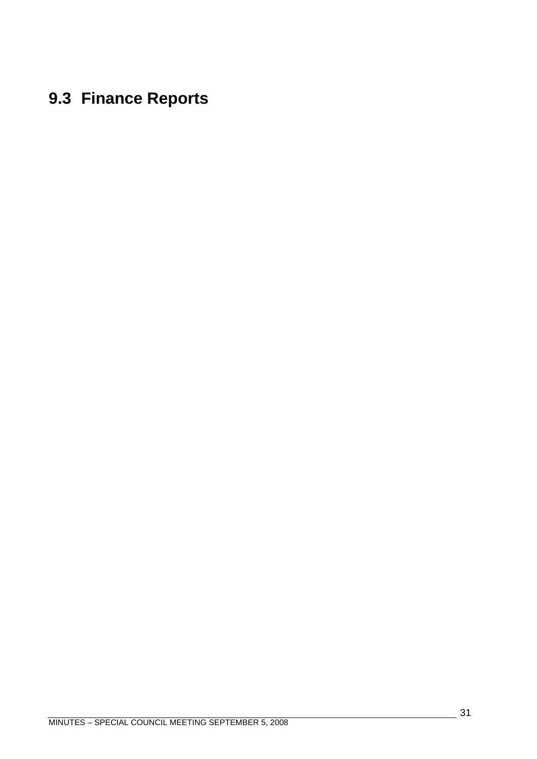# <span id="page-30-1"></span><span id="page-30-0"></span>**9.3 Finance Reports**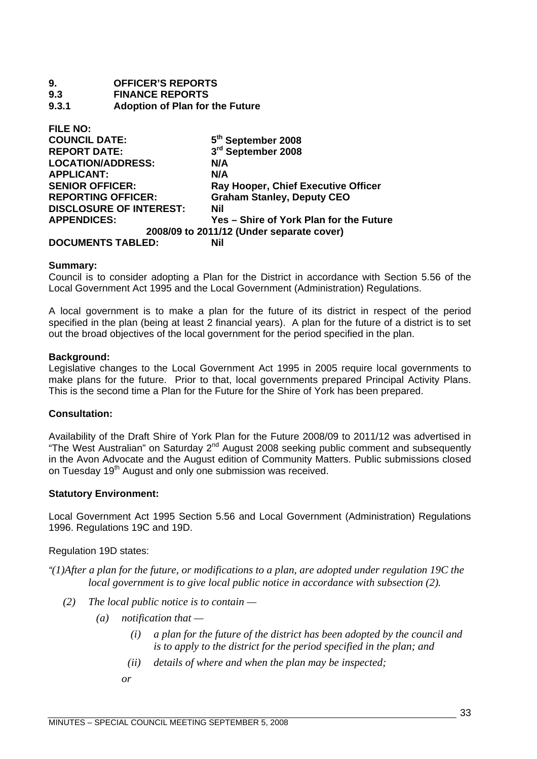<span id="page-32-1"></span><span id="page-32-0"></span>

| 9.    | <b>OFFICER'S REPORTS</b>               |
|-------|----------------------------------------|
| 9.3   | <b>FINANCE REPORTS</b>                 |
| 9.3.1 | <b>Adoption of Plan for the Future</b> |

| <b>FILE NO:</b>                |                                            |
|--------------------------------|--------------------------------------------|
| <b>COUNCIL DATE:</b>           | 5 <sup>th</sup> September 2008             |
| <b>REPORT DATE:</b>            | 3rd September 2008                         |
| <b>LOCATION/ADDRESS:</b>       | N/A                                        |
| <b>APPLICANT:</b>              | N/A                                        |
| <b>SENIOR OFFICER:</b>         | <b>Ray Hooper, Chief Executive Officer</b> |
| <b>REPORTING OFFICER:</b>      | <b>Graham Stanley, Deputy CEO</b>          |
| <b>DISCLOSURE OF INTEREST:</b> | Nil                                        |
| <b>APPENDICES:</b>             | Yes – Shire of York Plan for the Future    |
|                                | 2008/09 to 2011/12 (Under separate cover)  |
| <b>DOCUMENTS TABLED:</b>       | Nil                                        |

#### **Summary:**

Council is to consider adopting a Plan for the District in accordance with Section 5.56 of the Local Government Act 1995 and the Local Government (Administration) Regulations.

A local government is to make a plan for the future of its district in respect of the period specified in the plan (being at least 2 financial years). A plan for the future of a district is to set out the broad objectives of the local government for the period specified in the plan.

#### **Background:**

Legislative changes to the Local Government Act 1995 in 2005 require local governments to make plans for the future. Prior to that, local governments prepared Principal Activity Plans. This is the second time a Plan for the Future for the Shire of York has been prepared.

#### **Consultation:**

Availability of the Draft Shire of York Plan for the Future 2008/09 to 2011/12 was advertised in "The West Australian" on Saturday 2<sup>nd</sup> August 2008 seeking public comment and subsequently in the Avon Advocate and the August edition of Community Matters. Public submissions closed on Tuesday 19<sup>th</sup> August and only one submission was received.

#### **Statutory Environment:**

Local Government Act 1995 Section 5.56 and Local Government (Administration) Regulations 1996. Regulations 19C and 19D.

#### Regulation 19D states:

*"(1)After a plan for the future, or modifications to a plan, are adopted under regulation 19C the local government is to give local public notice in accordance with subsection (2).* 

- *(2) The local public notice is to contain* 
	- *(a) notification that* 
		- *(i) a plan for the future of the district has been adopted by the council and is to apply to the district for the period specified in the plan; and*
		- *(ii) details of where and when the plan may be inspected;*
- *or*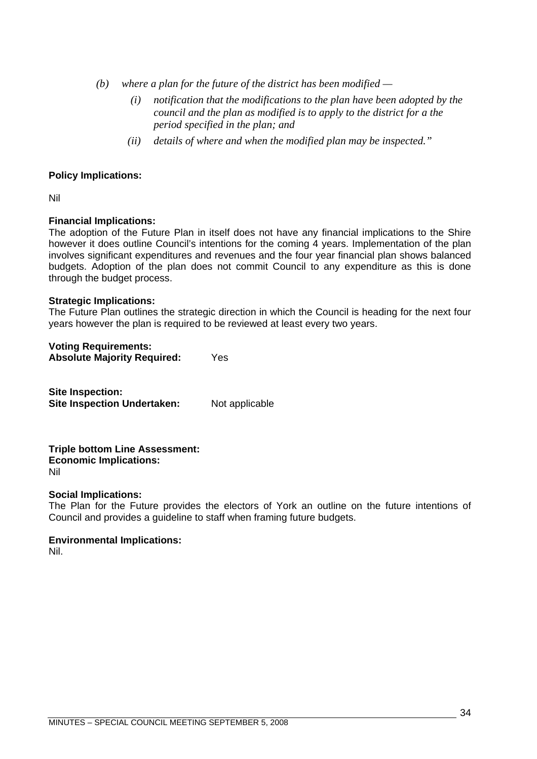- *(b) where a plan for the future of the district has been modified* 
	- *(i) notification that the modifications to the plan have been adopted by the council and the plan as modified is to apply to the district for a the period specified in the plan; and*
	- *(ii) details of where and when the modified plan may be inspected."*

#### **Policy Implications:**

Nil

#### **Financial Implications:**

The adoption of the Future Plan in itself does not have any financial implications to the Shire however it does outline Council's intentions for the coming 4 years. Implementation of the plan involves significant expenditures and revenues and the four year financial plan shows balanced budgets. Adoption of the plan does not commit Council to any expenditure as this is done through the budget process.

#### **Strategic Implications:**

The Future Plan outlines the strategic direction in which the Council is heading for the next four years however the plan is required to be reviewed at least every two years.

**Voting Requirements: Absolute Majority Required:** Yes

**Site Inspection: Site Inspection Undertaken:** Not applicable

**Triple bottom Line Assessment: Economic Implications:**  Nil

#### **Social Implications:**

The Plan for the Future provides the electors of York an outline on the future intentions of Council and provides a guideline to staff when framing future budgets.

**Environmental Implications:** 

Nil.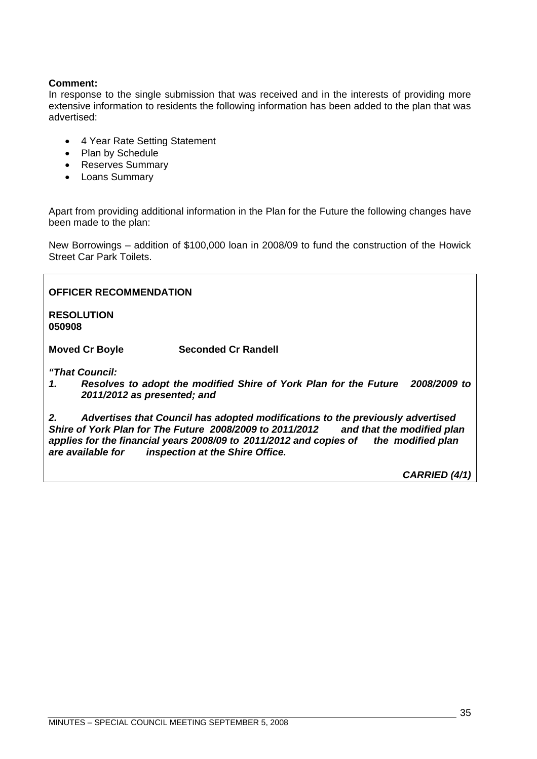# **Comment:**

In response to the single submission that was received and in the interests of providing more extensive information to residents the following information has been added to the plan that was advertised:

- 4 Year Rate Setting Statement
- Plan by Schedule
- Reserves Summary
- Loans Summary

Apart from providing additional information in the Plan for the Future the following changes have been made to the plan:

New Borrowings – addition of \$100,000 loan in 2008/09 to fund the construction of the Howick Street Car Park Toilets.

# **OFFICER RECOMMENDATION**

**RESOLUTION 050908** 

**Moved Cr Boyle Seconded Cr Randell** 

*"That Council:* 

*1. Resolves to adopt the modified Shire of York Plan for the Future 2008/2009 to 2011/2012 as presented; and* 

*2. Advertises that Council has adopted modifications to the previously advertised Shire of York Plan for The Future 2008/2009 to 2011/2012 applies for the financial years 2008/09 to 2011/2012 and copies of the modified plan are available for inspection at the Shire Office.* 

*CARRIED (4/1)*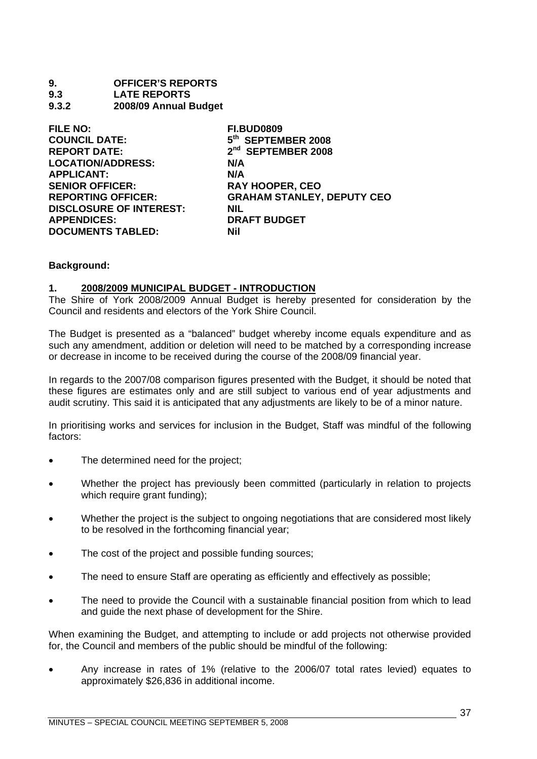#### <span id="page-36-0"></span>**9. OFFICER'S REPORTS 9.3 LATE REPORTS 9.3.2 2008/09 Annual Budget**

**FILE NO: FI.BUD0809 COUNCIL DATE:** 5<sup>th</sup> SEPTEMBER 2008<br>REPORT DATE: 2<sup>nd</sup> SEPTEMBER 2008 **LOCATION/ADDRESS: N/A APPLICANT: N/A SENIOR OFFICER: RAY HOOPER, CEO DISCLOSURE OF INTEREST: NIL APPENDICES: DRAFT BUDGET DOCUMENTS TABLED:** Nil

<span id="page-36-1"></span> $2<sup>nd</sup>$  SEPTEMBER 2008 **REPORTING OFFICER: GRAHAM STANLEY, DEPUTY CEO** 

#### **Background:**

#### **1. 2008/2009 MUNICIPAL BUDGET - INTRODUCTION**

The Shire of York 2008/2009 Annual Budget is hereby presented for consideration by the Council and residents and electors of the York Shire Council.

The Budget is presented as a "balanced" budget whereby income equals expenditure and as such any amendment, addition or deletion will need to be matched by a corresponding increase or decrease in income to be received during the course of the 2008/09 financial year.

In regards to the 2007/08 comparison figures presented with the Budget, it should be noted that these figures are estimates only and are still subject to various end of year adjustments and audit scrutiny. This said it is anticipated that any adjustments are likely to be of a minor nature.

In prioritising works and services for inclusion in the Budget, Staff was mindful of the following factors:

- The determined need for the project;
- Whether the project has previously been committed (particularly in relation to projects which require grant funding);
- Whether the project is the subject to ongoing negotiations that are considered most likely to be resolved in the forthcoming financial year;
- The cost of the project and possible funding sources;
- The need to ensure Staff are operating as efficiently and effectively as possible;
- The need to provide the Council with a sustainable financial position from which to lead and guide the next phase of development for the Shire.

When examining the Budget, and attempting to include or add projects not otherwise provided for, the Council and members of the public should be mindful of the following:

• Any increase in rates of 1% (relative to the 2006/07 total rates levied) equates to approximately \$26,836 in additional income.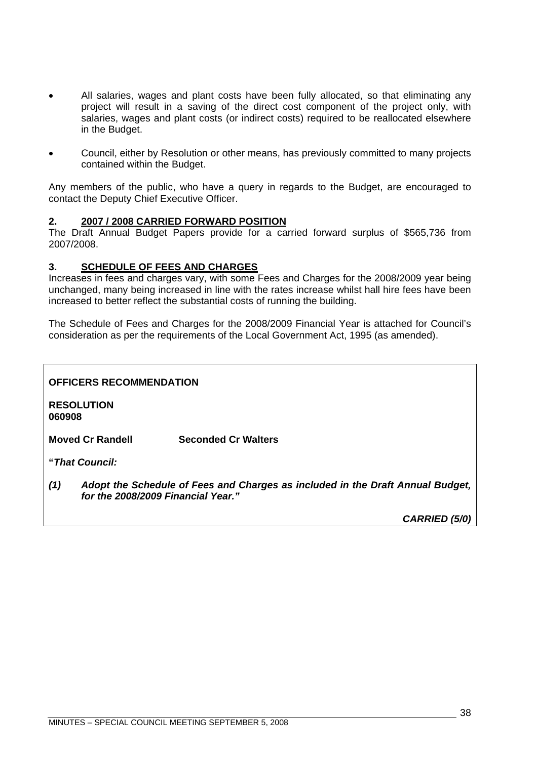- All salaries, wages and plant costs have been fully allocated, so that eliminating any project will result in a saving of the direct cost component of the project only, with salaries, wages and plant costs (or indirect costs) required to be reallocated elsewhere in the Budget.
- Council, either by Resolution or other means, has previously committed to many projects contained within the Budget.

Any members of the public, who have a query in regards to the Budget, are encouraged to contact the Deputy Chief Executive Officer.

# **2. 2007 / 2008 CARRIED FORWARD POSITION**

The Draft Annual Budget Papers provide for a carried forward surplus of \$565,736 from 2007/2008.

# **3. SCHEDULE OF FEES AND CHARGES**

Increases in fees and charges vary, with some Fees and Charges for the 2008/2009 year being unchanged, many being increased in line with the rates increase whilst hall hire fees have been increased to better reflect the substantial costs of running the building.

The Schedule of Fees and Charges for the 2008/2009 Financial Year is attached for Council's consideration as per the requirements of the Local Government Act, 1995 (as amended).

| <b>OFFICERS RECOMMENDATION</b> |                            |  |  |
|--------------------------------|----------------------------|--|--|
| <b>RESOLUTION</b><br>060908    |                            |  |  |
| <b>Moved Cr Randell</b>        | <b>Seconded Cr Walters</b> |  |  |
| "That Council:                 |                            |  |  |

*(1) Adopt the Schedule of Fees and Charges as included in the Draft Annual Budget, for the 2008/2009 Financial Year."* 

*CARRIED (5/0)*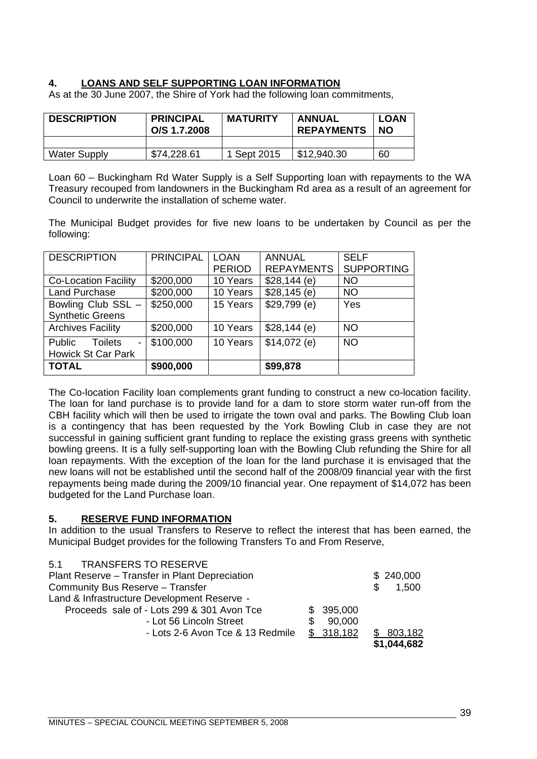# **4. LOANS AND SELF SUPPORTING LOAN INFORMATION**

As at the 30 June 2007, the Shire of York had the following loan commitments,

| <b>DESCRIPTION</b>  | <b>PRINCIPAL</b><br>O/S 1.7.2008 | <b>MATURITY</b> | <b>ANNUAL</b><br><b>REPAYMENTS</b> | <b>LOAN</b><br><b>NO</b> |  |
|---------------------|----------------------------------|-----------------|------------------------------------|--------------------------|--|
|                     |                                  |                 |                                    |                          |  |
| <b>Water Supply</b> | \$74,228.61                      | 1 Sept 2015     | \$12,940.30                        | 60                       |  |

Loan 60 – Buckingham Rd Water Supply is a Self Supporting loan with repayments to the WA Treasury recouped from landowners in the Buckingham Rd area as a result of an agreement for Council to underwrite the installation of scheme water.

The Municipal Budget provides for five new loans to be undertaken by Council as per the following:

| <b>DESCRIPTION</b>             | <b>PRINCIPAL</b> | <b>LOAN</b>   | <b>ANNUAL</b>     | <b>SELF</b>       |
|--------------------------------|------------------|---------------|-------------------|-------------------|
|                                |                  | <b>PERIOD</b> | <b>REPAYMENTS</b> | <b>SUPPORTING</b> |
| <b>Co-Location Facility</b>    | \$200,000        | 10 Years      | $$28,144$ (e)     | <b>NO</b>         |
| <b>Land Purchase</b>           | \$200,000        | 10 Years      | \$28,145(e)       | <b>NO</b>         |
| Bowling Club SSL -             | \$250,000        | 15 Years      | \$29,799(e)       | Yes               |
| <b>Synthetic Greens</b>        |                  |               |                   |                   |
| <b>Archives Facility</b>       | \$200,000        | 10 Years      | $$28,144$ (e)     | <b>NO</b>         |
| Public<br><b>Toilets</b><br>۰. | \$100,000        | 10 Years      | \$14,072(e)       | <b>NO</b>         |
| <b>Howick St Car Park</b>      |                  |               |                   |                   |
| <b>TOTAL</b>                   | \$900,000        |               | \$99,878          |                   |

The Co-location Facility loan complements grant funding to construct a new co-location facility. The loan for land purchase is to provide land for a dam to store storm water run-off from the CBH facility which will then be used to irrigate the town oval and parks. The Bowling Club loan is a contingency that has been requested by the York Bowling Club in case they are not successful in gaining sufficient grant funding to replace the existing grass greens with synthetic bowling greens. It is a fully self-supporting loan with the Bowling Club refunding the Shire for all loan repayments. With the exception of the loan for the land purchase it is envisaged that the new loans will not be established until the second half of the 2008/09 financial year with the first repayments being made during the 2009/10 financial year. One repayment of \$14,072 has been budgeted for the Land Purchase loan.

# **5. RESERVE FUND INFORMATION**

In addition to the usual Transfers to Reserve to reflect the interest that has been earned, the Municipal Budget provides for the following Transfers To and From Reserve,

|                                                |     |           |     | \$1,044,682 |
|------------------------------------------------|-----|-----------|-----|-------------|
| - Lots 2-6 Avon Tce & 13 Redmile               |     | \$318,182 |     | \$803,182   |
| - Lot 56 Lincoln Street                        | \$. | 90,000    |     |             |
| Proceeds sale of - Lots 299 & 301 Avon Tce     |     | \$395,000 |     |             |
| Land & Infrastructure Development Reserve -    |     |           |     |             |
| Community Bus Reserve - Transfer               |     |           | \$. | 1,500       |
| Plant Reserve - Transfer in Plant Depreciation |     |           |     | \$240,000   |
| 5.1 TRANSFERS TO RESERVE                       |     |           |     |             |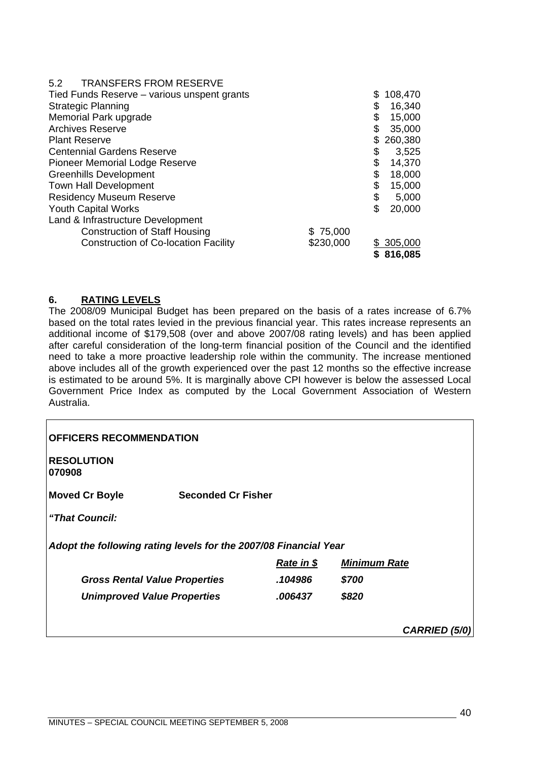| <b>TRANSFERS FROM RESERVE</b><br>5.2        |           |               |
|---------------------------------------------|-----------|---------------|
| Tied Funds Reserve - various unspent grants |           | \$<br>108,470 |
| <b>Strategic Planning</b>                   |           | \$<br>16,340  |
| Memorial Park upgrade                       |           | \$<br>15,000  |
| <b>Archives Reserve</b>                     |           | \$<br>35,000  |
| <b>Plant Reserve</b>                        |           | 260,380       |
| <b>Centennial Gardens Reserve</b>           |           | \$<br>3,525   |
| <b>Pioneer Memorial Lodge Reserve</b>       |           | \$<br>14,370  |
| <b>Greenhills Development</b>               |           | \$<br>18,000  |
| <b>Town Hall Development</b>                |           | \$<br>15,000  |
| <b>Residency Museum Reserve</b>             |           | \$<br>5,000   |
| <b>Youth Capital Works</b>                  |           | \$<br>20,000  |
| Land & Infrastructure Development           |           |               |
| <b>Construction of Staff Housing</b>        | \$75,000  |               |
| <b>Construction of Co-location Facility</b> | \$230,000 | \$305,000     |
|                                             |           | \$816,085     |

#### **6. RATING LEVELS**

The 2008/09 Municipal Budget has been prepared on the basis of a rates increase of 6.7% based on the total rates levied in the previous financial year. This rates increase represents an additional income of \$179,508 (over and above 2007/08 rating levels) and has been applied after careful consideration of the long-term financial position of the Council and the identified need to take a more proactive leadership role within the community. The increase mentioned above includes all of the growth experienced over the past 12 months so the effective increase is estimated to be around 5%. It is marginally above CPI however is below the assessed Local Government Price Index as computed by the Local Government Association of Western Australia.

| <b>OFFICERS RECOMMENDATION</b>                                   |                           |                   |                     |
|------------------------------------------------------------------|---------------------------|-------------------|---------------------|
| <b>RESOLUTION</b><br>070908                                      |                           |                   |                     |
| <b>Moved Cr Boyle</b>                                            | <b>Seconded Cr Fisher</b> |                   |                     |
| "That Council:                                                   |                           |                   |                     |
| Adopt the following rating levels for the 2007/08 Financial Year |                           |                   |                     |
|                                                                  |                           | <b>Rate in \$</b> | <b>Minimum Rate</b> |
| <b>Gross Rental Value Properties</b>                             |                           | .104986           | \$700               |
| <b>Unimproved Value Properties</b>                               |                           | .006437           | \$820               |
|                                                                  |                           |                   |                     |
|                                                                  |                           |                   | <b>CARRIED (5/0</b> |

٦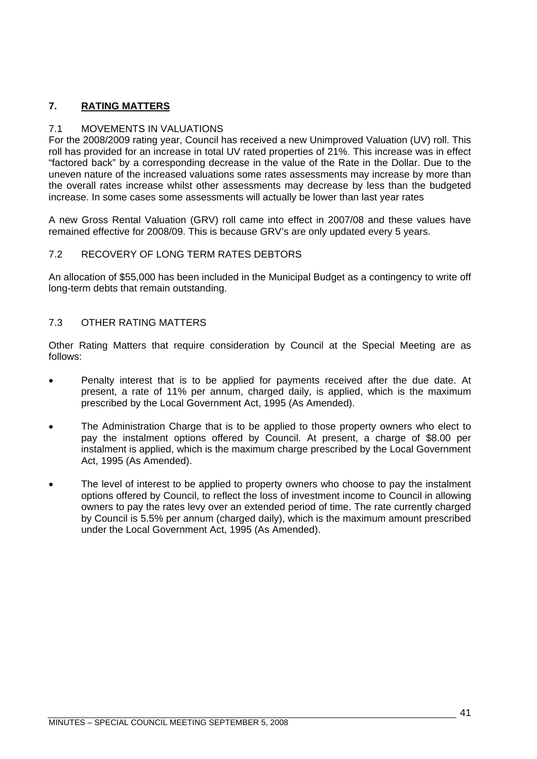# **7. RATING MATTERS**

# 7.1 MOVEMENTS IN VALUATIONS

For the 2008/2009 rating year, Council has received a new Unimproved Valuation (UV) roll. This roll has provided for an increase in total UV rated properties of 21%. This increase was in effect "factored back" by a corresponding decrease in the value of the Rate in the Dollar. Due to the uneven nature of the increased valuations some rates assessments may increase by more than the overall rates increase whilst other assessments may decrease by less than the budgeted increase. In some cases some assessments will actually be lower than last year rates

A new Gross Rental Valuation (GRV) roll came into effect in 2007/08 and these values have remained effective for 2008/09. This is because GRV's are only updated every 5 years.

# 7.2 RECOVERY OF LONG TERM RATES DEBTORS

An allocation of \$55,000 has been included in the Municipal Budget as a contingency to write off long-term debts that remain outstanding.

# 7.3 OTHER RATING MATTERS

Other Rating Matters that require consideration by Council at the Special Meeting are as follows:

- Penalty interest that is to be applied for payments received after the due date. At present, a rate of 11% per annum, charged daily, is applied, which is the maximum prescribed by the Local Government Act, 1995 (As Amended).
- The Administration Charge that is to be applied to those property owners who elect to pay the instalment options offered by Council. At present, a charge of \$8.00 per instalment is applied, which is the maximum charge prescribed by the Local Government Act, 1995 (As Amended).
- The level of interest to be applied to property owners who choose to pay the instalment options offered by Council, to reflect the loss of investment income to Council in allowing owners to pay the rates levy over an extended period of time. The rate currently charged by Council is 5.5% per annum (charged daily), which is the maximum amount prescribed under the Local Government Act, 1995 (As Amended).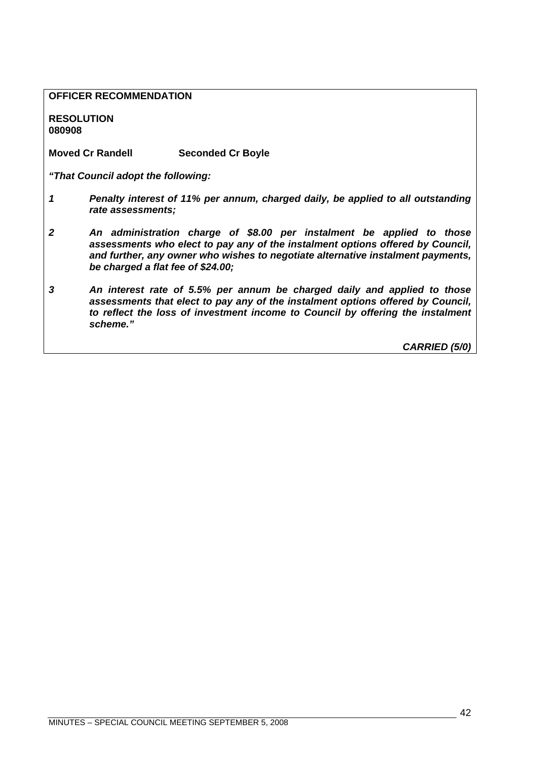# **OFFICER RECOMMENDATION**

**RESOLUTION 080908** 

**Moved Cr Randell Seconded Cr Boyle** 

*"That Council adopt the following:* 

- *1 Penalty interest of 11% per annum, charged daily, be applied to all outstanding rate assessments;*
- *2 An administration charge of \$8.00 per instalment be applied to those assessments who elect to pay any of the instalment options offered by Council, and further, any owner who wishes to negotiate alternative instalment payments, be charged a flat fee of \$24.00;*
- *3 An interest rate of 5.5% per annum be charged daily and applied to those assessments that elect to pay any of the instalment options offered by Council, to reflect the loss of investment income to Council by offering the instalment scheme."*

*CARRIED (5/0)*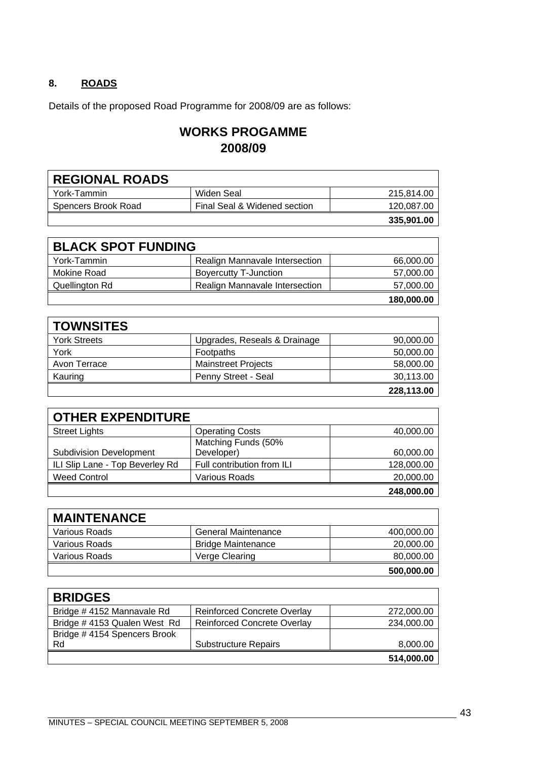# **8. ROADS**

Details of the proposed Road Programme for 2008/09 are as follows:

# **WORKS PROGAMME 2008/09**

| <b>REGIONAL ROADS</b> |                              |            |
|-----------------------|------------------------------|------------|
| York-Tammin           | Widen Seal                   | 215,814.00 |
| Spencers Brook Road   | Final Seal & Widened section | 120,087.00 |
|                       |                              | 335,901.00 |

| <b>BLACK SPOT FUNDING</b> |                                |            |
|---------------------------|--------------------------------|------------|
| York-Tammin               | Realign Mannavale Intersection | 66,000.00  |
| Mokine Road               | <b>Boyercutty T-Junction</b>   | 57,000.00  |
| Quellington Rd            | Realign Mannavale Intersection | 57,000.00  |
|                           |                                | 180,000.00 |

| <b>TOWNSITES</b>    |                              |            |
|---------------------|------------------------------|------------|
| <b>York Streets</b> | Upgrades, Reseals & Drainage | 90,000.00  |
| York                | Footpaths                    | 50,000.00  |
| Avon Terrace        | <b>Mainstreet Projects</b>   | 58,000.00  |
| Kauring             | Penny Street - Seal          | 30,113.00  |
|                     |                              | 228,113.00 |

| <b>OTHER EXPENDITURE</b>        |                            |            |
|---------------------------------|----------------------------|------------|
| <b>Street Lights</b>            | <b>Operating Costs</b>     | 40,000.00  |
|                                 | Matching Funds (50%        |            |
| <b>Subdivision Development</b>  | Developer)                 | 60,000.00  |
| ILI Slip Lane - Top Beverley Rd | Full contribution from ILI | 128,000.00 |
| <b>Weed Control</b>             | Various Roads              | 20,000.00  |
|                                 |                            | 248,000.00 |

| <b>MAINTENANCE</b> |                            |            |
|--------------------|----------------------------|------------|
| Various Roads      | <b>General Maintenance</b> | 400,000.00 |
| Various Roads      | <b>Bridge Maintenance</b>  | 20,000.00  |
| Various Roads      | Verge Clearing             | 80,000.00  |
|                    |                            | 500,000.00 |

| <b>BRIDGES</b>              |                                    |            |
|-----------------------------|------------------------------------|------------|
| Bridge #4152 Mannavale Rd   | <b>Reinforced Concrete Overlay</b> | 272,000.00 |
| Bridge #4153 Qualen West Rd | <b>Reinforced Concrete Overlay</b> | 234,000.00 |
| Bridge #4154 Spencers Brook |                                    |            |
| Rd                          | <b>Substructure Repairs</b>        | 8,000.00   |
|                             |                                    | 514,000.00 |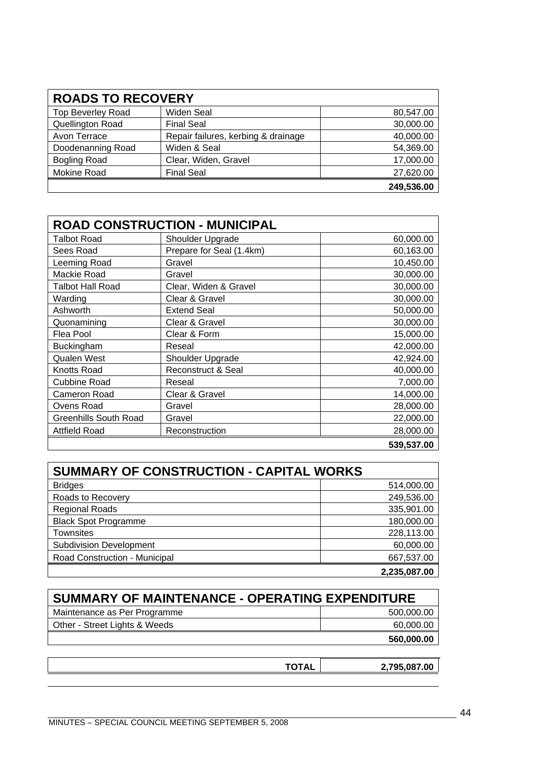| <b>ROADS TO RECOVERY</b> |                                     |            |
|--------------------------|-------------------------------------|------------|
| <b>Top Beverley Road</b> | Widen Seal                          | 80,547.00  |
| Quellington Road         | <b>Final Seal</b>                   | 30,000.00  |
| Avon Terrace             | Repair failures, kerbing & drainage | 40,000.00  |
| Doodenanning Road        | Widen & Seal                        | 54,369.00  |
| <b>Bogling Road</b>      | Clear, Widen, Gravel                | 17,000.00  |
| Mokine Road              | <b>Final Seal</b>                   | 27,620.00  |
|                          |                                     | 249,536.00 |

| <b>ROAD CONSTRUCTION - MUNICIPAL</b> |                          |            |
|--------------------------------------|--------------------------|------------|
| <b>Talbot Road</b>                   | Shoulder Upgrade         | 60,000.00  |
| Sees Road                            | Prepare for Seal (1.4km) | 60,163.00  |
| Leeming Road                         | Gravel                   | 10,450.00  |
| Mackie Road                          | Gravel                   | 30,000.00  |
| <b>Talbot Hall Road</b>              | Clear, Widen & Gravel    | 30,000.00  |
| Warding                              | Clear & Gravel           | 30,000.00  |
| Ashworth                             | <b>Extend Seal</b>       | 50,000.00  |
| Quonamining                          | Clear & Gravel           | 30,000.00  |
| Flea Pool                            | Clear & Form             | 15,000.00  |
| <b>Buckingham</b>                    | Reseal                   | 42,000.00  |
| Qualen West                          | Shoulder Upgrade         | 42,924.00  |
| <b>Knotts Road</b>                   | Reconstruct & Seal       | 40,000.00  |
| <b>Cubbine Road</b>                  | Reseal                   | 7,000.00   |
| <b>Cameron Road</b>                  | Clear & Gravel           | 14,000.00  |
| Ovens Road                           | Gravel                   | 28,000.00  |
| <b>Greenhills South Road</b>         | Gravel                   | 22,000.00  |
| <b>Attfield Road</b>                 | Reconstruction           | 28,000.00  |
|                                      |                          | 539,537.00 |

| <b>SUMMARY OF CONSTRUCTION - CAPITAL WORKS</b> |              |  |
|------------------------------------------------|--------------|--|
| <b>Bridges</b>                                 | 514,000.00   |  |
| Roads to Recovery                              | 249,536.00   |  |
| <b>Regional Roads</b>                          | 335,901.00   |  |
| <b>Black Spot Programme</b>                    | 180,000.00   |  |
| <b>Townsites</b>                               | 228,113.00   |  |
| <b>Subdivision Development</b>                 | 60,000.00    |  |
| Road Construction - Municipal                  | 667,537.00   |  |
|                                                | 2,235,087.00 |  |

| SUMMARY OF MAINTENANCE - OPERATING EXPENDITURE |            |
|------------------------------------------------|------------|
| Maintenance as Per Programme                   | 500.000.00 |
| Other - Street Lights & Weeds                  | 60,000.00  |
|                                                | 560,000.00 |

**TOTAL 2,795,087.00**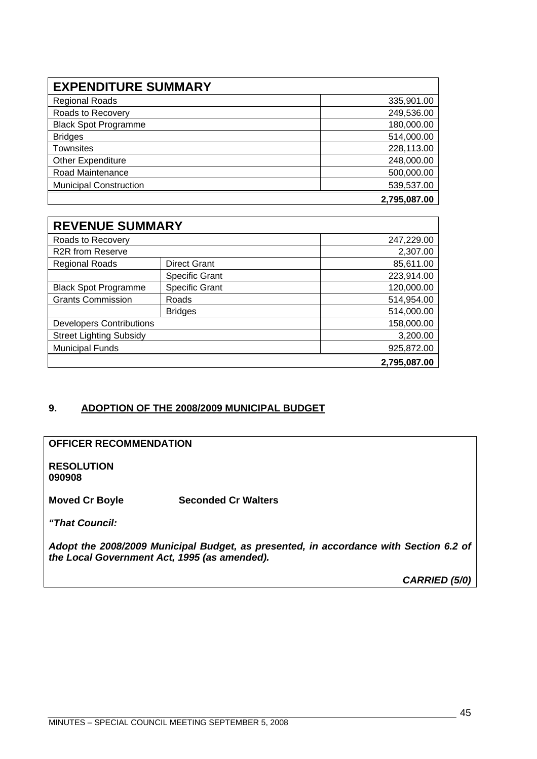| <b>EXPENDITURE SUMMARY</b>    |              |
|-------------------------------|--------------|
| <b>Regional Roads</b>         | 335,901.00   |
| Roads to Recovery             | 249,536.00   |
| <b>Black Spot Programme</b>   | 180,000.00   |
| <b>Bridges</b>                | 514,000.00   |
| <b>Townsites</b>              | 228,113.00   |
| <b>Other Expenditure</b>      | 248,000.00   |
| Road Maintenance              | 500,000.00   |
| <b>Municipal Construction</b> | 539,537.00   |
|                               | 2,795,087.00 |

| <b>REVENUE SUMMARY</b>          |                       |              |
|---------------------------------|-----------------------|--------------|
| Roads to Recovery               |                       | 247,229.00   |
| <b>R2R from Reserve</b>         |                       | 2,307.00     |
| <b>Regional Roads</b>           | <b>Direct Grant</b>   | 85,611.00    |
|                                 | <b>Specific Grant</b> | 223,914.00   |
| <b>Black Spot Programme</b>     | <b>Specific Grant</b> | 120,000.00   |
| <b>Grants Commission</b>        | Roads                 | 514,954.00   |
|                                 | <b>Bridges</b>        | 514,000.00   |
| <b>Developers Contributions</b> |                       | 158,000.00   |
| <b>Street Lighting Subsidy</b>  |                       | 3,200.00     |
| <b>Municipal Funds</b>          |                       | 925,872.00   |
|                                 |                       | 2,795,087.00 |

# **9. ADOPTION OF THE 2008/2009 MUNICIPAL BUDGET**

#### **OFFICER RECOMMENDATION**

**RESOLUTION 090908** 

**Moved Cr Boyle Seconded Cr Walters** 

*"That Council:* 

*Adopt the 2008/2009 Municipal Budget, as presented, in accordance with Section 6.2 of the Local Government Act, 1995 (as amended).* 

*CARRIED (5/0)*